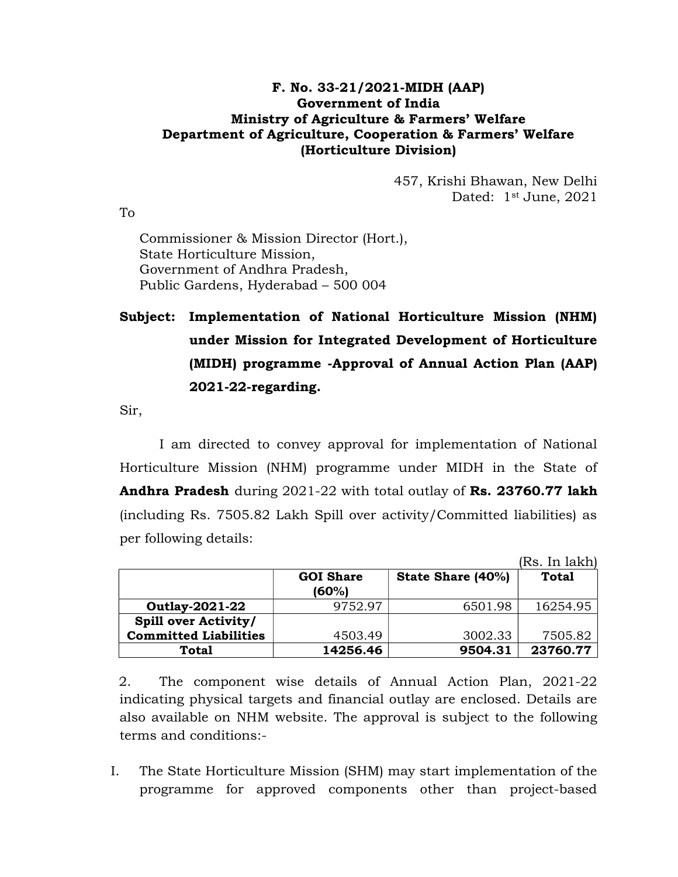## F. No. 33-21/2021-MIDH (AAP) Government of India Ministry of Agriculture & Farmers' Welfare Department of Agriculture, Cooperation & Farmers' Welfare (Horticulture Division)

457, Krishi Bhawan, New Delhi Dated: 1<sup>st</sup> June, 2021

Commissioner & Mission Director (Hort.), State Horticulture Mission, Government of Andhra Pradesh, Public Gardens, Hyderabad – 500 004

## Subject: Implementation of National Horticulture Mission (NHM) under Mission for Integrated Development of Horticulture (MIDH) programme -Approval of Annual Action Plan (AAP) 2021-22-regarding.

Sir,

 I am directed to convey approval for implementation of National Horticulture Mission (NHM) programme under MIDH in the State of Andhra Pradesh during 2021-22 with total outlay of Rs. 23760.77 lakh (including Rs. 7505.82 Lakh Spill over activity/Committed liabilities) as per following details:

|                              |                           |                   | (Rs. In lakh) |
|------------------------------|---------------------------|-------------------|---------------|
|                              | <b>GOI Share</b><br>(60%) | State Share (40%) | <b>Total</b>  |
| <b>Outlay-2021-22</b>        | 9752.97                   | 6501.98           | 16254.95      |
| Spill over Activity/         |                           |                   |               |
| <b>Committed Liabilities</b> | 4503.49                   | 3002.33           | 7505.82       |
| Total                        | 14256.46                  | 9504.31           | 23760.77      |

 2. The component wise details of Annual Action Plan, 2021-22 indicating physical targets and financial outlay are enclosed. Details are also available on NHM website. The approval is subject to the following terms and conditions:-

I. The State Horticulture Mission (SHM) may start implementation of the programme for approved components other than project-based

To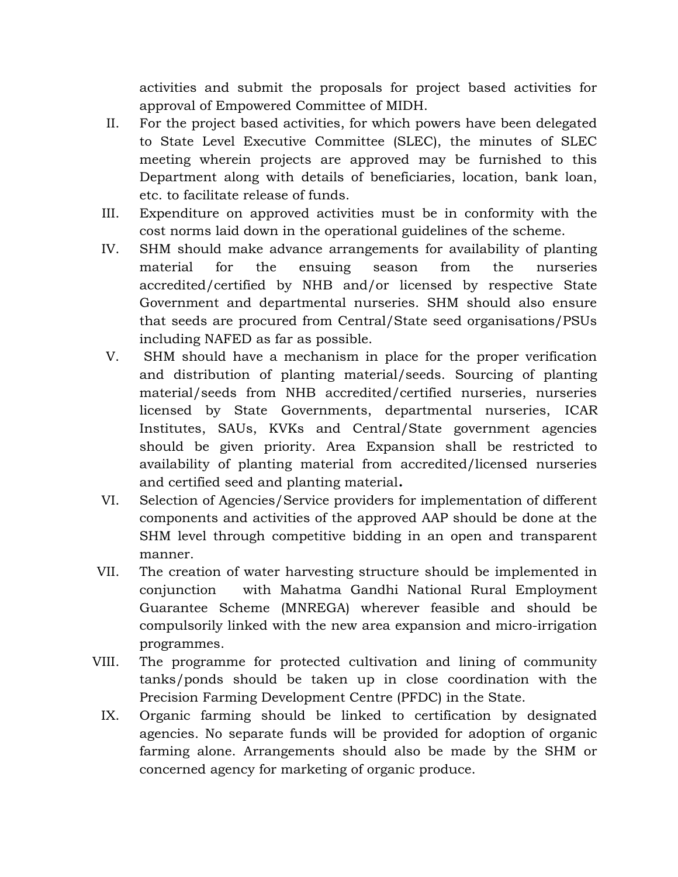activities and submit the proposals for project based activities for approval of Empowered Committee of MIDH.

- II. For the project based activities, for which powers have been delegated to State Level Executive Committee (SLEC), the minutes of SLEC meeting wherein projects are approved may be furnished to this Department along with details of beneficiaries, location, bank loan, etc. to facilitate release of funds.
- III. Expenditure on approved activities must be in conformity with the cost norms laid down in the operational guidelines of the scheme.
- IV. SHM should make advance arrangements for availability of planting material for the ensuing season from the nurseries accredited/certified by NHB and/or licensed by respective State Government and departmental nurseries. SHM should also ensure that seeds are procured from Central/State seed organisations/PSUs including NAFED as far as possible.
- V. SHM should have a mechanism in place for the proper verification and distribution of planting material/seeds. Sourcing of planting material/seeds from NHB accredited/certified nurseries, nurseries licensed by State Governments, departmental nurseries, ICAR Institutes, SAUs, KVKs and Central/State government agencies should be given priority. Area Expansion shall be restricted to availability of planting material from accredited/licensed nurseries and certified seed and planting material.
- VI. Selection of Agencies/Service providers for implementation of different components and activities of the approved AAP should be done at the SHM level through competitive bidding in an open and transparent manner.
- VII. The creation of water harvesting structure should be implemented in conjunction with Mahatma Gandhi National Rural Employment Guarantee Scheme (MNREGA) wherever feasible and should be compulsorily linked with the new area expansion and micro-irrigation programmes.
- VIII. The programme for protected cultivation and lining of community tanks/ponds should be taken up in close coordination with the Precision Farming Development Centre (PFDC) in the State.
	- IX. Organic farming should be linked to certification by designated agencies. No separate funds will be provided for adoption of organic farming alone. Arrangements should also be made by the SHM or concerned agency for marketing of organic produce.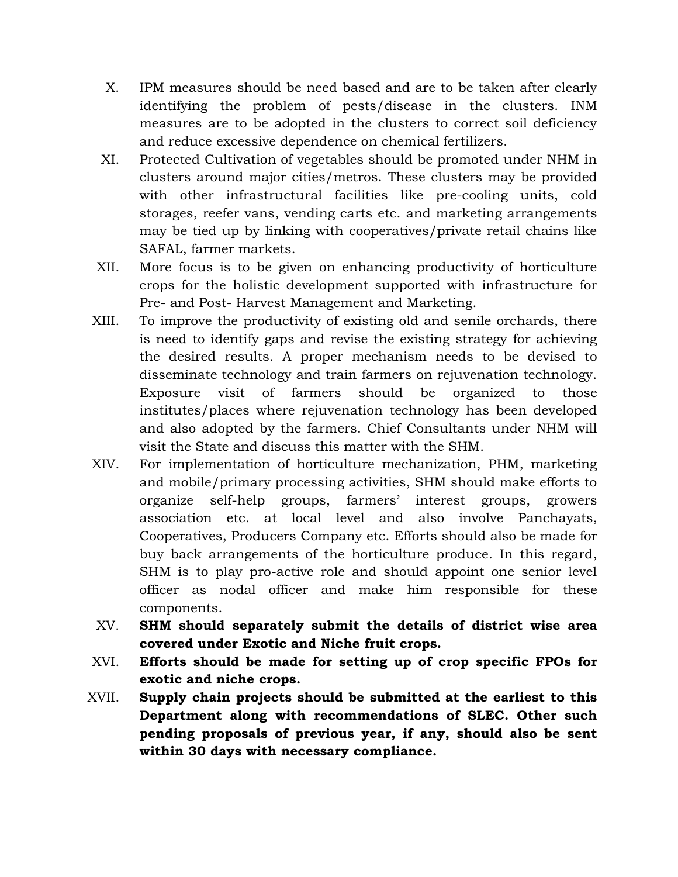- X. IPM measures should be need based and are to be taken after clearly identifying the problem of pests/disease in the clusters. INM measures are to be adopted in the clusters to correct soil deficiency and reduce excessive dependence on chemical fertilizers.
- XI. Protected Cultivation of vegetables should be promoted under NHM in clusters around major cities/metros. These clusters may be provided with other infrastructural facilities like pre-cooling units, cold storages, reefer vans, vending carts etc. and marketing arrangements may be tied up by linking with cooperatives/private retail chains like SAFAL, farmer markets.
- XII. More focus is to be given on enhancing productivity of horticulture crops for the holistic development supported with infrastructure for Pre- and Post- Harvest Management and Marketing.
- XIII. To improve the productivity of existing old and senile orchards, there is need to identify gaps and revise the existing strategy for achieving the desired results. A proper mechanism needs to be devised to disseminate technology and train farmers on rejuvenation technology. Exposure visit of farmers should be organized to those institutes/places where rejuvenation technology has been developed and also adopted by the farmers. Chief Consultants under NHM will visit the State and discuss this matter with the SHM.
- XIV. For implementation of horticulture mechanization, PHM, marketing and mobile/primary processing activities, SHM should make efforts to organize self-help groups, farmers' interest groups, growers association etc. at local level and also involve Panchayats, Cooperatives, Producers Company etc. Efforts should also be made for buy back arrangements of the horticulture produce. In this regard, SHM is to play pro-active role and should appoint one senior level officer as nodal officer and make him responsible for these components.
- XV. SHM should separately submit the details of district wise area covered under Exotic and Niche fruit crops.
- XVI. Efforts should be made for setting up of crop specific FPOs for exotic and niche crops.
- XVII. Supply chain projects should be submitted at the earliest to this Department along with recommendations of SLEC. Other such pending proposals of previous year, if any, should also be sent within 30 days with necessary compliance.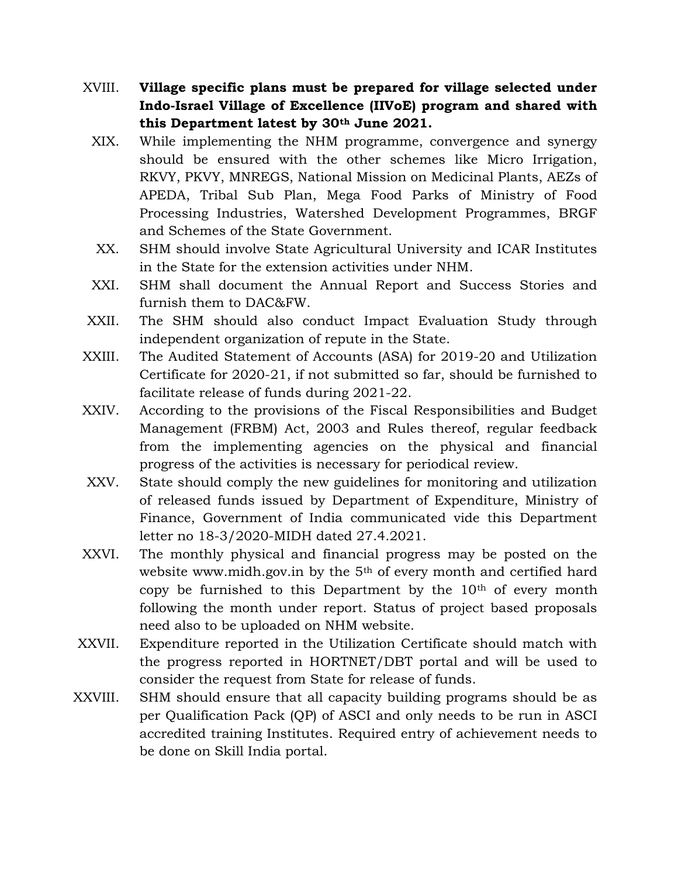- XVIII. Village specific plans must be prepared for village selected under Indo-Israel Village of Excellence (IIVoE) program and shared with this Department latest by 30th June 2021.
	- XIX. While implementing the NHM programme, convergence and synergy should be ensured with the other schemes like Micro Irrigation, RKVY, PKVY, MNREGS, National Mission on Medicinal Plants, AEZs of APEDA, Tribal Sub Plan, Mega Food Parks of Ministry of Food Processing Industries, Watershed Development Programmes, BRGF and Schemes of the State Government.
	- XX. SHM should involve State Agricultural University and ICAR Institutes in the State for the extension activities under NHM.
	- XXI. SHM shall document the Annual Report and Success Stories and furnish them to DAC&FW.
- XXII. The SHM should also conduct Impact Evaluation Study through independent organization of repute in the State.
- XXIII. The Audited Statement of Accounts (ASA) for 2019-20 and Utilization Certificate for 2020-21, if not submitted so far, should be furnished to facilitate release of funds during 2021-22.
- XXIV. According to the provisions of the Fiscal Responsibilities and Budget Management (FRBM) Act, 2003 and Rules thereof, regular feedback from the implementing agencies on the physical and financial progress of the activities is necessary for periodical review.
- XXV. State should comply the new guidelines for monitoring and utilization of released funds issued by Department of Expenditure, Ministry of Finance, Government of India communicated vide this Department letter no 18-3/2020-MIDH dated 27.4.2021.
- XXVI. The monthly physical and financial progress may be posted on the website www.midh.gov.in by the 5<sup>th</sup> of every month and certified hard copy be furnished to this Department by the  $10<sup>th</sup>$  of every month following the month under report. Status of project based proposals need also to be uploaded on NHM website.
- XXVII. Expenditure reported in the Utilization Certificate should match with the progress reported in HORTNET/DBT portal and will be used to consider the request from State for release of funds.
- XXVIII. SHM should ensure that all capacity building programs should be as per Qualification Pack (QP) of ASCI and only needs to be run in ASCI accredited training Institutes. Required entry of achievement needs to be done on Skill India portal.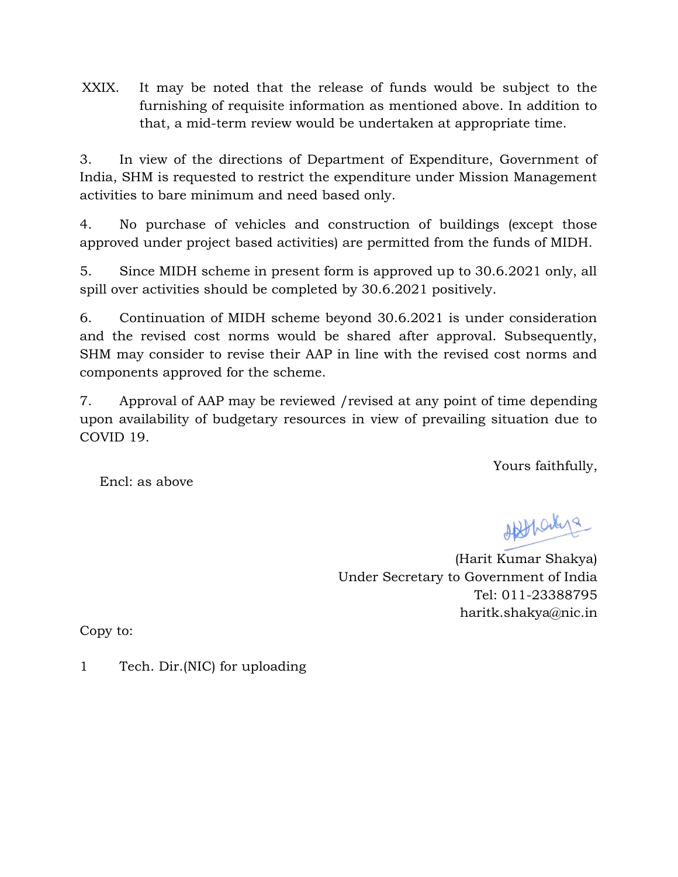XXIX. It may be noted that the release of funds would be subject to the furnishing of requisite information as mentioned above. In addition to that, a mid-term review would be undertaken at appropriate time.

3. In view of the directions of Department of Expenditure, Government of India, SHM is requested to restrict the expenditure under Mission Management activities to bare minimum and need based only.

4. No purchase of vehicles and construction of buildings (except those approved under project based activities) are permitted from the funds of MIDH.

5. Since MIDH scheme in present form is approved up to 30.6.2021 only, all spill over activities should be completed by 30.6.2021 positively.

6. Continuation of MIDH scheme beyond 30.6.2021 is under consideration and the revised cost norms would be shared after approval. Subsequently, SHM may consider to revise their AAP in line with the revised cost norms and components approved for the scheme.

7. Approval of AAP may be reviewed /revised at any point of time depending upon availability of budgetary resources in view of prevailing situation due to COVID 19.

Yours faithfully,

Encl: as above

opthonys

(Harit Kumar Shakya) Under Secretary to Government of India Tel: 011-23388795 haritk.shakya@nic.in

Copy to:

1 Tech. Dir.(NIC) for uploading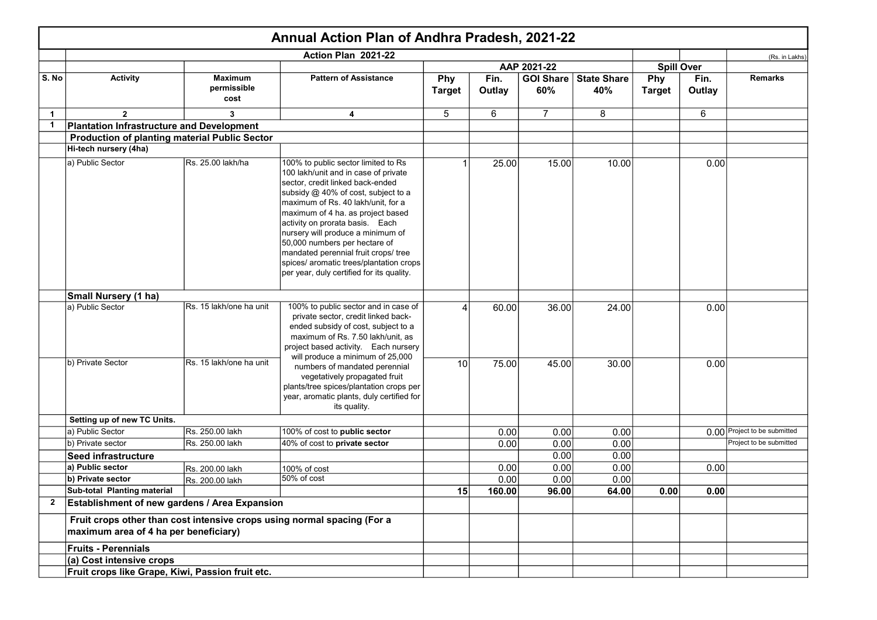|              |                                                                                                                  |                                       | Annual Action Plan of Andhra Pradesh, 2021-22                                                                                                                                                                                                                                                                                                                                                                                                                              |                      |                |                |                                |                      |                   |                              |
|--------------|------------------------------------------------------------------------------------------------------------------|---------------------------------------|----------------------------------------------------------------------------------------------------------------------------------------------------------------------------------------------------------------------------------------------------------------------------------------------------------------------------------------------------------------------------------------------------------------------------------------------------------------------------|----------------------|----------------|----------------|--------------------------------|----------------------|-------------------|------------------------------|
|              |                                                                                                                  |                                       | Action Plan 2021-22                                                                                                                                                                                                                                                                                                                                                                                                                                                        |                      |                |                |                                |                      |                   | (Rs. in Lakhs)               |
|              |                                                                                                                  |                                       |                                                                                                                                                                                                                                                                                                                                                                                                                                                                            |                      |                | AAP 2021-22    |                                |                      | <b>Spill Over</b> |                              |
| S. No        | <b>Activity</b>                                                                                                  | <b>Maximum</b><br>permissible<br>cost | <b>Pattern of Assistance</b>                                                                                                                                                                                                                                                                                                                                                                                                                                               | Phy<br><b>Target</b> | Fin.<br>Outlay | 60%            | GOI Share   State Share<br>40% | Phy<br><b>Target</b> | Fin.<br>Outlay    | Remarks                      |
| $\mathbf{1}$ | $\mathbf{2}$                                                                                                     | 3                                     | 4                                                                                                                                                                                                                                                                                                                                                                                                                                                                          | 5                    | 6              | $\overline{7}$ | 8                              |                      | 6                 |                              |
| $\mathbf{1}$ | Plantation Infrastructure and Development                                                                        |                                       |                                                                                                                                                                                                                                                                                                                                                                                                                                                                            |                      |                |                |                                |                      |                   |                              |
|              | <b>Production of planting material Public Sector</b>                                                             |                                       |                                                                                                                                                                                                                                                                                                                                                                                                                                                                            |                      |                |                |                                |                      |                   |                              |
|              | Hi-tech nursery (4ha)                                                                                            |                                       |                                                                                                                                                                                                                                                                                                                                                                                                                                                                            |                      |                |                |                                |                      |                   |                              |
|              | a) Public Sector                                                                                                 | Rs. 25.00 lakh/ha                     | 100% to public sector limited to Rs<br>100 lakh/unit and in case of private<br>sector, credit linked back-ended<br>subsidy @ 40% of cost, subject to a<br>maximum of Rs. 40 lakh/unit, for a<br>maximum of 4 ha. as project based<br>activity on prorata basis. Each<br>nursery will produce a minimum of<br>50,000 numbers per hectare of<br>mandated perennial fruit crops/ tree<br>spices/ aromatic trees/plantation crops<br>per year, duly certified for its quality. |                      | 25.00          | 15.00          | 10.00                          |                      | 0.00              |                              |
|              | Small Nursery (1 ha)                                                                                             |                                       |                                                                                                                                                                                                                                                                                                                                                                                                                                                                            |                      |                |                |                                |                      |                   |                              |
|              | a) Public Sector                                                                                                 | Rs. 15 lakh/one ha unit               | 100% to public sector and in case of<br>private sector, credit linked back-<br>ended subsidy of cost, subject to a<br>maximum of Rs. 7.50 lakh/unit, as<br>project based activity. Each nursery<br>will produce a minimum of 25,000                                                                                                                                                                                                                                        | 4                    | 60.00          | 36.00          | 24.00                          |                      | 0.001             |                              |
|              | b) Private Sector                                                                                                | Rs. 15 lakh/one ha unit               | numbers of mandated perennial<br>vegetatively propagated fruit<br>plants/tree spices/plantation crops per<br>year, aromatic plants, duly certified for<br>its quality.                                                                                                                                                                                                                                                                                                     | 10 <sup>1</sup>      | 75.00          | 45.00          | 30.00                          |                      | 0.00              |                              |
|              | Setting up of new TC Units.                                                                                      |                                       |                                                                                                                                                                                                                                                                                                                                                                                                                                                                            |                      |                |                |                                |                      |                   |                              |
|              | a) Public Sector                                                                                                 | Rs. 250.00 lakh                       | 100% of cost to public sector                                                                                                                                                                                                                                                                                                                                                                                                                                              |                      | 0.00           | 0.00           | 0.00                           |                      |                   | 0.00 Project to be submitted |
|              | b) Private sector                                                                                                | Rs. 250.00 lakh                       | 40% of cost to private sector                                                                                                                                                                                                                                                                                                                                                                                                                                              |                      | 0.00           | 0.00           | 0.00                           |                      |                   | Project to be submitted      |
|              | <b>Seed infrastructure</b>                                                                                       |                                       |                                                                                                                                                                                                                                                                                                                                                                                                                                                                            |                      |                | 0.00           | 0.00                           |                      |                   |                              |
|              | a) Public sector                                                                                                 | Rs. 200.00 lakh                       | 100% of cost                                                                                                                                                                                                                                                                                                                                                                                                                                                               |                      | 0.00           | 0.00           | 0.00                           |                      | 0.00              |                              |
|              | b) Private sector                                                                                                | Rs. 200.00 lakh                       | 50% of cost                                                                                                                                                                                                                                                                                                                                                                                                                                                                |                      | 0.00           | 0.00           | 0.00                           |                      |                   |                              |
|              | Sub-total Planting material                                                                                      |                                       |                                                                                                                                                                                                                                                                                                                                                                                                                                                                            | 15 <sup>1</sup>      | 160.00         | 96.00          | 64.00                          | 0.00                 | 0.00              |                              |
| $\mathbf{2}$ | <b>Establishment of new gardens / Area Expansion</b>                                                             |                                       |                                                                                                                                                                                                                                                                                                                                                                                                                                                                            |                      |                |                |                                |                      |                   |                              |
|              | Fruit crops other than cost intensive crops using normal spacing (For a<br>maximum area of 4 ha per beneficiary) |                                       |                                                                                                                                                                                                                                                                                                                                                                                                                                                                            |                      |                |                |                                |                      |                   |                              |
|              | <b>Fruits - Perennials</b>                                                                                       |                                       |                                                                                                                                                                                                                                                                                                                                                                                                                                                                            |                      |                |                |                                |                      |                   |                              |
|              | (a) Cost intensive crops                                                                                         |                                       |                                                                                                                                                                                                                                                                                                                                                                                                                                                                            |                      |                |                |                                |                      |                   |                              |
|              | Fruit crops like Grape, Kiwi, Passion fruit etc.                                                                 |                                       |                                                                                                                                                                                                                                                                                                                                                                                                                                                                            |                      |                |                |                                |                      |                   |                              |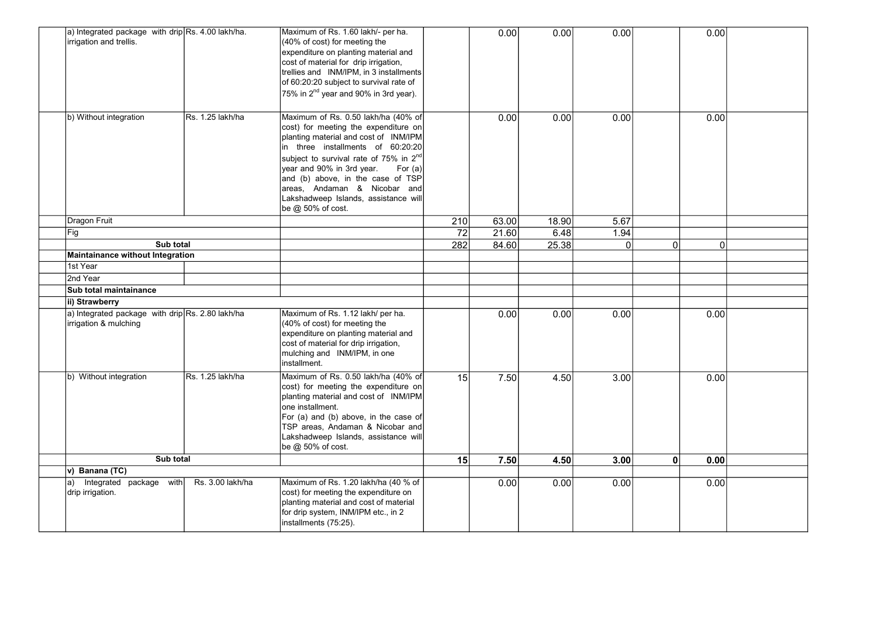| a) Integrated package with drip Rs. 4.00 lakh/ha.<br>irrigation and trellis. |                  | Maximum of Rs. 1.60 lakh/- per ha.<br>(40% of cost) for meeting the<br>expenditure on planting material and<br>cost of material for drip irrigation,<br>trellies and INM/IPM, in 3 installments<br>of 60:20:20 subject to survival rate of<br>75% in 2 <sup>nd</sup> year and 90% in 3rd year).                                                                                             |                 | 0.00  | 0.00  | 0.00     |          | 0.00     |  |
|------------------------------------------------------------------------------|------------------|---------------------------------------------------------------------------------------------------------------------------------------------------------------------------------------------------------------------------------------------------------------------------------------------------------------------------------------------------------------------------------------------|-----------------|-------|-------|----------|----------|----------|--|
| b) Without integration                                                       | Rs. 1.25 lakh/ha | Maximum of Rs. 0.50 lakh/ha (40% of<br>cost) for meeting the expenditure on<br>planting material and cost of INM/IPM<br>in three installments of 60:20:20<br>subject to survival rate of 75% in 2 <sup>nd</sup><br>year and 90% in 3rd year.<br>For $(a)$<br>and (b) above, in the case of TSP<br>areas. Andaman & Nicobar and<br>Lakshadweep Islands, assistance will<br>be @ 50% of cost. |                 | 0.00  | 0.00  | 0.00     |          | 0.00     |  |
| <b>Dragon Fruit</b>                                                          |                  |                                                                                                                                                                                                                                                                                                                                                                                             | 210             | 63.00 | 18.90 | 5.67     |          |          |  |
| Fig                                                                          |                  |                                                                                                                                                                                                                                                                                                                                                                                             | $\overline{72}$ | 21.60 | 6.48  | 1.94     |          |          |  |
| Sub total                                                                    |                  |                                                                                                                                                                                                                                                                                                                                                                                             | 282             | 84.60 | 25.38 | $\Omega$ | $\Omega$ | $\Omega$ |  |
| <b>Maintainance without Integration</b>                                      |                  |                                                                                                                                                                                                                                                                                                                                                                                             |                 |       |       |          |          |          |  |
| 1st Year                                                                     |                  |                                                                                                                                                                                                                                                                                                                                                                                             |                 |       |       |          |          |          |  |
| 2nd Year                                                                     |                  |                                                                                                                                                                                                                                                                                                                                                                                             |                 |       |       |          |          |          |  |
| Sub total maintainance                                                       |                  |                                                                                                                                                                                                                                                                                                                                                                                             |                 |       |       |          |          |          |  |
| ii) Strawberry                                                               |                  |                                                                                                                                                                                                                                                                                                                                                                                             |                 |       |       |          |          |          |  |
| a) Integrated package with drip Rs. 2.80 lakh/ha<br>irrigation & mulching    |                  | Maximum of Rs. 1.12 lakh/ per ha.<br>(40% of cost) for meeting the<br>expenditure on planting material and<br>cost of material for drip irrigation,<br>mulching and INM/IPM, in one<br>installment.                                                                                                                                                                                         |                 | 0.00  | 0.00  | 0.00     |          | 0.00     |  |
| b) Without integration                                                       | Rs. 1.25 lakh/ha | Maximum of Rs. 0.50 lakh/ha (40% of<br>cost) for meeting the expenditure on<br>planting material and cost of INM/IPM<br>one installment.<br>For (a) and (b) above, in the case of<br>TSP areas, Andaman & Nicobar and<br>Lakshadweep Islands, assistance will<br>be @ 50% of cost.                                                                                                          | 15              | 7.50  | 4.50  | 3.00     |          | 0.001    |  |
| Sub total                                                                    |                  |                                                                                                                                                                                                                                                                                                                                                                                             | 15              | 7.50  | 4.50  | 3.00     | 0        | 0.00     |  |
| v) Banana (TC)                                                               |                  |                                                                                                                                                                                                                                                                                                                                                                                             |                 |       |       |          |          |          |  |
| Integrated package with<br>a)<br>drip irrigation.                            | Rs. 3.00 lakh/ha | Maximum of Rs. 1.20 lakh/ha (40 % of<br>cost) for meeting the expenditure on<br>planting material and cost of material<br>for drip system, INM/IPM etc., in 2<br>installments (75:25).                                                                                                                                                                                                      |                 | 0.00  | 0.00  | 0.00     |          | 0.00     |  |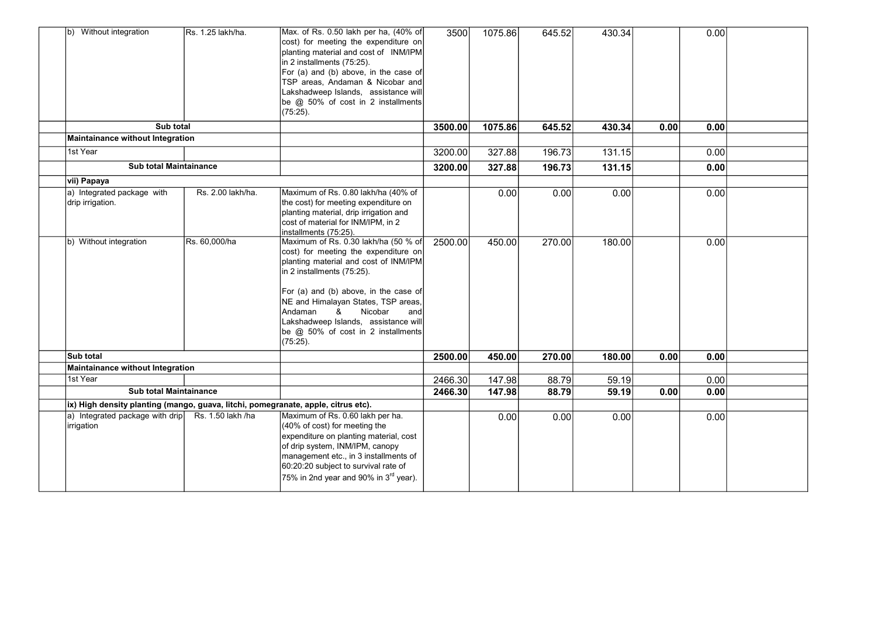| b) Without integration                                                            | Rs. 1.25 lakh/ha. | Max. of Rs. 0.50 lakh per ha, (40% of<br>cost) for meeting the expenditure on<br>planting material and cost of INM/IPM<br>in 2 installments (75:25).<br>For (a) and (b) above, in the case of<br>TSP areas, Andaman & Nicobar and<br>Lakshadweep Islands, assistance will<br>be @ 50% of cost in 2 installments<br>$(75:25)$ .                                     | 3500    | 1075.86 | 645.52 | 430.34 |      | 0.00 |  |
|-----------------------------------------------------------------------------------|-------------------|--------------------------------------------------------------------------------------------------------------------------------------------------------------------------------------------------------------------------------------------------------------------------------------------------------------------------------------------------------------------|---------|---------|--------|--------|------|------|--|
| Sub total                                                                         |                   |                                                                                                                                                                                                                                                                                                                                                                    | 3500.00 | 1075.86 | 645.52 | 430.34 | 0.00 | 0.00 |  |
| Maintainance without Integration                                                  |                   |                                                                                                                                                                                                                                                                                                                                                                    |         |         |        |        |      |      |  |
| 1st Year                                                                          |                   |                                                                                                                                                                                                                                                                                                                                                                    | 3200.00 | 327.88  | 196.73 | 131.15 |      | 0.00 |  |
| <b>Sub total Maintainance</b>                                                     |                   |                                                                                                                                                                                                                                                                                                                                                                    | 3200.00 | 327.88  | 196.73 | 131.15 |      | 0.00 |  |
| vii) Papaya                                                                       |                   |                                                                                                                                                                                                                                                                                                                                                                    |         |         |        |        |      |      |  |
| a) Integrated package with<br>drip irrigation.                                    | Rs. 2.00 lakh/ha. | Maximum of Rs. 0.80 lakh/ha (40% of<br>the cost) for meeting expenditure on<br>planting material, drip irrigation and<br>cost of material for INM/IPM, in 2<br>installments (75:25).                                                                                                                                                                               |         | 0.00    | 0.00   | 0.00   |      | 0.00 |  |
| b) Without integration                                                            | Rs. 60,000/ha     | Maximum of Rs. 0.30 lakh/ha (50 % of<br>cost) for meeting the expenditure on<br>planting material and cost of INM/IPM<br>in 2 installments (75:25).<br>For (a) and (b) above, in the case of<br>NE and Himalayan States, TSP areas,<br>Andaman<br>&<br>Nicobar<br>and<br>Lakshadweep Islands, assistance will<br>be @ 50% of cost in 2 installments<br>$(75:25)$ . | 2500.00 | 450.00  | 270.00 | 180.00 |      | 0.00 |  |
| Sub total                                                                         |                   |                                                                                                                                                                                                                                                                                                                                                                    | 2500.00 | 450.00  | 270.00 | 180.00 | 0.00 | 0.00 |  |
| Maintainance without Integration                                                  |                   |                                                                                                                                                                                                                                                                                                                                                                    |         |         |        |        |      |      |  |
| 1st Year                                                                          |                   |                                                                                                                                                                                                                                                                                                                                                                    | 2466.30 | 147.98  | 88.79  | 59.19  |      | 0.00 |  |
| Sub total Maintainance                                                            |                   |                                                                                                                                                                                                                                                                                                                                                                    | 2466.30 | 147.98  | 88.79  | 59.19  | 0.00 | 0.00 |  |
| ix) High density planting (mango, guava, litchi, pomegranate, apple, citrus etc). | Rs. 1.50 lakh /ha | Maximum of Rs. 0.60 lakh per ha.                                                                                                                                                                                                                                                                                                                                   |         |         |        |        |      |      |  |
| a) Integrated package with drip<br>irrigation                                     |                   | (40% of cost) for meeting the<br>expenditure on planting material, cost<br>of drip system, INM/IPM, canopy<br>management etc., in 3 installments of<br>60:20:20 subject to survival rate of<br>75% in 2nd year and 90% in 3 <sup>rd</sup> year).                                                                                                                   |         | 0.00    | 0.00   | 0.00   |      | 0.00 |  |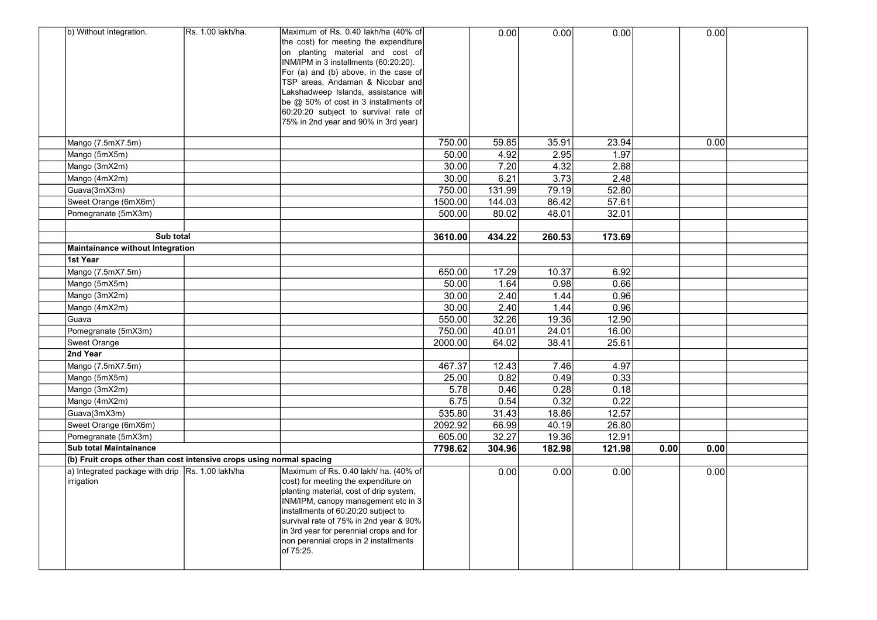| b) Without Integration.                                              | Rs. 1.00 lakh/ha. | Maximum of Rs. 0.40 lakh/ha (40% of<br>the cost) for meeting the expenditure<br>on planting material and cost of<br>INM/IPM in 3 installments (60:20:20).<br>For (a) and (b) above, in the case of                                                 |         | 0.00   | 0.00   | 0.00   |      | 0.00  |  |
|----------------------------------------------------------------------|-------------------|----------------------------------------------------------------------------------------------------------------------------------------------------------------------------------------------------------------------------------------------------|---------|--------|--------|--------|------|-------|--|
|                                                                      |                   | TSP areas, Andaman & Nicobar and                                                                                                                                                                                                                   |         |        |        |        |      |       |  |
|                                                                      |                   | Lakshadweep Islands, assistance will                                                                                                                                                                                                               |         |        |        |        |      |       |  |
|                                                                      |                   | be @ 50% of cost in 3 installments of<br>$ 60:20:20$ subject to survival rate of                                                                                                                                                                   |         |        |        |        |      |       |  |
|                                                                      |                   | 75% in 2nd year and 90% in 3rd year)                                                                                                                                                                                                               |         |        |        |        |      |       |  |
|                                                                      |                   |                                                                                                                                                                                                                                                    |         |        |        |        |      |       |  |
| Mango (7.5mX7.5m)                                                    |                   |                                                                                                                                                                                                                                                    | 750.00  | 59.85  | 35.91  | 23.94  |      | 0.001 |  |
| Mango (5mX5m)                                                        |                   |                                                                                                                                                                                                                                                    | 50.00   | 4.92   | 2.95   | 1.97   |      |       |  |
| Mango (3mX2m)                                                        |                   |                                                                                                                                                                                                                                                    | 30.00   | 7.20   | 4.32   | 2.88   |      |       |  |
| Mango (4mX2m)                                                        |                   |                                                                                                                                                                                                                                                    | 30.00   | 6.21   | 3.73   | 2.48   |      |       |  |
| Guava(3mX3m)                                                         |                   |                                                                                                                                                                                                                                                    | 750.00  | 131.99 | 79.19  | 52.80  |      |       |  |
| Sweet Orange (6mX6m)                                                 |                   |                                                                                                                                                                                                                                                    | 1500.00 | 144.03 | 86.42  | 57.61  |      |       |  |
| Pomegranate (5mX3m)                                                  |                   |                                                                                                                                                                                                                                                    | 500.00  | 80.02  | 48.01  | 32.01  |      |       |  |
|                                                                      |                   |                                                                                                                                                                                                                                                    |         |        |        |        |      |       |  |
| Sub total                                                            |                   |                                                                                                                                                                                                                                                    | 3610.00 | 434.22 | 260.53 | 173.69 |      |       |  |
| Maintainance without Integration                                     |                   |                                                                                                                                                                                                                                                    |         |        |        |        |      |       |  |
| 1st Year                                                             |                   |                                                                                                                                                                                                                                                    |         |        |        |        |      |       |  |
| Mango (7.5mX7.5m)                                                    |                   |                                                                                                                                                                                                                                                    | 650.00  | 17.29  | 10.37  | 6.92   |      |       |  |
| Mango (5mX5m)                                                        |                   |                                                                                                                                                                                                                                                    | 50.00   | 1.64   | 0.98   | 0.66   |      |       |  |
| Mango (3mX2m)                                                        |                   |                                                                                                                                                                                                                                                    | 30.00   | 2.40   | 1.44   | 0.96   |      |       |  |
| Mango (4mX2m)                                                        |                   |                                                                                                                                                                                                                                                    | 30.00   | 2.40   | 1.44   | 0.96   |      |       |  |
| Guava                                                                |                   |                                                                                                                                                                                                                                                    | 550.00  | 32.26  | 19.36  | 12.90  |      |       |  |
| Pomegranate (5mX3m)                                                  |                   |                                                                                                                                                                                                                                                    | 750.00  | 40.01  | 24.01  | 16.00  |      |       |  |
| Sweet Orange                                                         |                   |                                                                                                                                                                                                                                                    | 2000.00 | 64.02  | 38.41  | 25.61  |      |       |  |
| 2nd Year                                                             |                   |                                                                                                                                                                                                                                                    |         |        |        |        |      |       |  |
| Mango (7.5mX7.5m)                                                    |                   |                                                                                                                                                                                                                                                    | 467.37  | 12.43  | 7.46   | 4.97   |      |       |  |
| Mango (5mX5m)                                                        |                   |                                                                                                                                                                                                                                                    | 25.00   | 0.82   | 0.49   | 0.33   |      |       |  |
| Mango (3mX2m)                                                        |                   |                                                                                                                                                                                                                                                    | 5.78    | 0.46   | 0.28   | 0.18   |      |       |  |
| Mango (4mX2m)                                                        |                   |                                                                                                                                                                                                                                                    | 6.75    | 0.54   | 0.32   | 0.22   |      |       |  |
| Guava(3mX3m)                                                         |                   |                                                                                                                                                                                                                                                    | 535.80  | 31.43  | 18.86  | 12.57  |      |       |  |
| Sweet Orange (6mX6m)                                                 |                   |                                                                                                                                                                                                                                                    | 2092.92 | 66.99  | 40.19  | 26.80  |      |       |  |
| Pomegranate (5mX3m)<br>Sub total Maintainance                        |                   |                                                                                                                                                                                                                                                    | 605.00  | 32.27  | 19.36  | 12.91  |      |       |  |
| (b) Fruit crops other than cost intensive crops using normal spacing |                   |                                                                                                                                                                                                                                                    | 7798.62 | 304.96 | 182.98 | 121.98 | 0.00 | 0.00  |  |
| $ a $ Integrated package with drip $ Rs. 1.00$ lakh/ha               |                   | Maximum of Rs. 0.40 lakh/ ha. (40% of                                                                                                                                                                                                              |         | 0.00   | 0.00   | 0.00   |      | 0.00  |  |
| irrigation                                                           |                   | cost) for meeting the expenditure on<br>planting material, cost of drip system,<br>INM/IPM, canopy management etc in 3<br>installments of 60:20:20 subject to<br>survival rate of 75% in 2nd year & 90%<br>in 3rd year for perennial crops and for |         |        |        |        |      |       |  |
|                                                                      |                   | non perennial crops in 2 installments<br>of 75:25.                                                                                                                                                                                                 |         |        |        |        |      |       |  |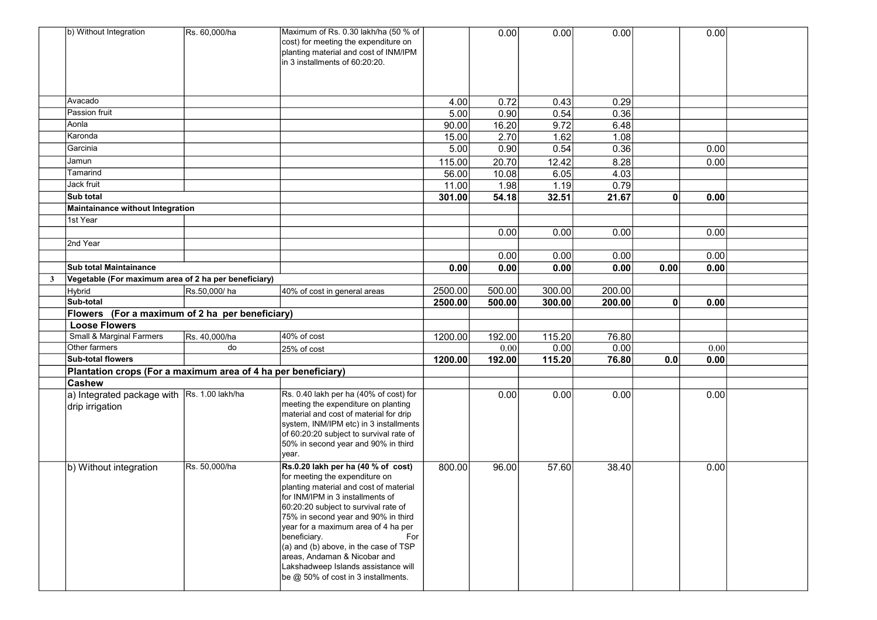|              | b) Without Integration                                         | Rs. 60,000/ha | Maximum of Rs. 0.30 lakh/ha (50 % of<br>cost) for meeting the expenditure on<br>planting material and cost of INM/IPM<br>in 3 installments of 60:20:20.                                                                                                                                                                                                                                                                                                  |         | 0.00   | 0.00   | 0.00   |              | 0.00 |  |
|--------------|----------------------------------------------------------------|---------------|----------------------------------------------------------------------------------------------------------------------------------------------------------------------------------------------------------------------------------------------------------------------------------------------------------------------------------------------------------------------------------------------------------------------------------------------------------|---------|--------|--------|--------|--------------|------|--|
|              | Avacado                                                        |               |                                                                                                                                                                                                                                                                                                                                                                                                                                                          | 4.00    | 0.72   | 0.43   | 0.29   |              |      |  |
|              | Passion fruit                                                  |               |                                                                                                                                                                                                                                                                                                                                                                                                                                                          | 5.00    | 0.90   | 0.54   | 0.36   |              |      |  |
|              | Aonla                                                          |               |                                                                                                                                                                                                                                                                                                                                                                                                                                                          | 90.00   | 16.20  | 9.72   | 6.48   |              |      |  |
|              | Karonda                                                        |               |                                                                                                                                                                                                                                                                                                                                                                                                                                                          | 15.00   | 2.70   | 1.62   | 1.08   |              |      |  |
|              | Garcinia                                                       |               |                                                                                                                                                                                                                                                                                                                                                                                                                                                          | 5.00    | 0.90   | 0.54   | 0.36   |              | 0.00 |  |
|              | Jamun                                                          |               |                                                                                                                                                                                                                                                                                                                                                                                                                                                          | 115.00  | 20.70  | 12.42  | 8.28   |              | 0.00 |  |
|              | Tamarind                                                       |               |                                                                                                                                                                                                                                                                                                                                                                                                                                                          | 56.00   | 10.08  | 6.05   | 4.03   |              |      |  |
|              | Jack fruit                                                     |               |                                                                                                                                                                                                                                                                                                                                                                                                                                                          | 11.00   | 1.98   | 1.19   | 0.79   |              |      |  |
|              | Sub total                                                      |               |                                                                                                                                                                                                                                                                                                                                                                                                                                                          | 301.00  | 54.18  | 32.51  | 21.67  | $\mathbf{0}$ | 0.00 |  |
|              | Maintainance without Integration                               |               |                                                                                                                                                                                                                                                                                                                                                                                                                                                          |         |        |        |        |              |      |  |
|              | 1st Year                                                       |               |                                                                                                                                                                                                                                                                                                                                                                                                                                                          |         |        |        |        |              |      |  |
|              |                                                                |               |                                                                                                                                                                                                                                                                                                                                                                                                                                                          |         | 0.00   | 0.00   | 0.00   |              | 0.00 |  |
|              | 2nd Year                                                       |               |                                                                                                                                                                                                                                                                                                                                                                                                                                                          |         |        |        |        |              |      |  |
|              |                                                                |               |                                                                                                                                                                                                                                                                                                                                                                                                                                                          |         | 0.00   | 0.00   | 0.00   |              | 0.00 |  |
|              | Sub total Maintainance                                         |               |                                                                                                                                                                                                                                                                                                                                                                                                                                                          | 0.00    | 0.00   | 0.00   | 0.00   | 0.00         | 0.00 |  |
| $\mathbf{3}$ | Vegetable (For maximum area of 2 ha per beneficiary)           |               |                                                                                                                                                                                                                                                                                                                                                                                                                                                          |         |        |        |        |              |      |  |
|              | <b>Hybrid</b>                                                  | Rs.50,000/ha  | 40% of cost in general areas                                                                                                                                                                                                                                                                                                                                                                                                                             | 2500.00 | 500.00 | 300.00 | 200.00 |              |      |  |
|              | Sub-total                                                      |               |                                                                                                                                                                                                                                                                                                                                                                                                                                                          | 2500.00 | 500.00 | 300.00 | 200.00 | $\mathbf{0}$ | 0.00 |  |
|              | Flowers (For a maximum of 2 ha per beneficiary)                |               |                                                                                                                                                                                                                                                                                                                                                                                                                                                          |         |        |        |        |              |      |  |
|              | <b>Loose Flowers</b>                                           |               |                                                                                                                                                                                                                                                                                                                                                                                                                                                          |         |        |        |        |              |      |  |
|              | <b>Small &amp; Marginal Farmers</b>                            | Rs. 40,000/ha | 40% of cost                                                                                                                                                                                                                                                                                                                                                                                                                                              | 1200.00 | 192.00 | 115.20 | 76.80  |              |      |  |
|              | Other farmers                                                  | do            | 25% of cost                                                                                                                                                                                                                                                                                                                                                                                                                                              |         | 0.00   | 0.00   | 0.00   |              | 0.00 |  |
|              | <b>Sub-total flowers</b>                                       |               |                                                                                                                                                                                                                                                                                                                                                                                                                                                          | 1200.00 | 192.00 | 115.20 | 76.80  | 0.0          | 0.00 |  |
|              | Plantation crops (For a maximum area of 4 ha per beneficiary)  |               |                                                                                                                                                                                                                                                                                                                                                                                                                                                          |         |        |        |        |              |      |  |
|              | <b>Cashew</b>                                                  |               |                                                                                                                                                                                                                                                                                                                                                                                                                                                          |         |        |        |        |              |      |  |
|              | a) Integrated package with Rs. 1.00 lakh/ha<br>drip irrigation |               | Rs. 0.40 lakh per ha (40% of cost) for<br>meeting the expenditure on planting<br>material and cost of material for drip<br>system, INM/IPM etc) in 3 installments<br>of 60:20:20 subject to survival rate of<br>50% in second year and 90% in third<br>year.                                                                                                                                                                                             |         | 0.00   | 0.00   | 0.00   |              | 0.00 |  |
|              | b) Without integration                                         | Rs. 50.000/ha | Rs.0.20 lakh per ha (40 % of cost)<br>for meeting the expenditure on<br>planting material and cost of material<br>for INM/IPM in 3 installments of<br>60:20:20 subject to survival rate of<br>75% in second year and 90% in third<br>year for a maximum area of 4 ha per<br>beneficiary.<br>For<br>$(a)$ and (b) above, in the case of TSP<br>areas, Andaman & Nicobar and<br>Lakshadweep Islands assistance will<br>be @ 50% of cost in 3 installments. | 800.00  | 96.00  | 57.60  | 38.40  |              | 0.00 |  |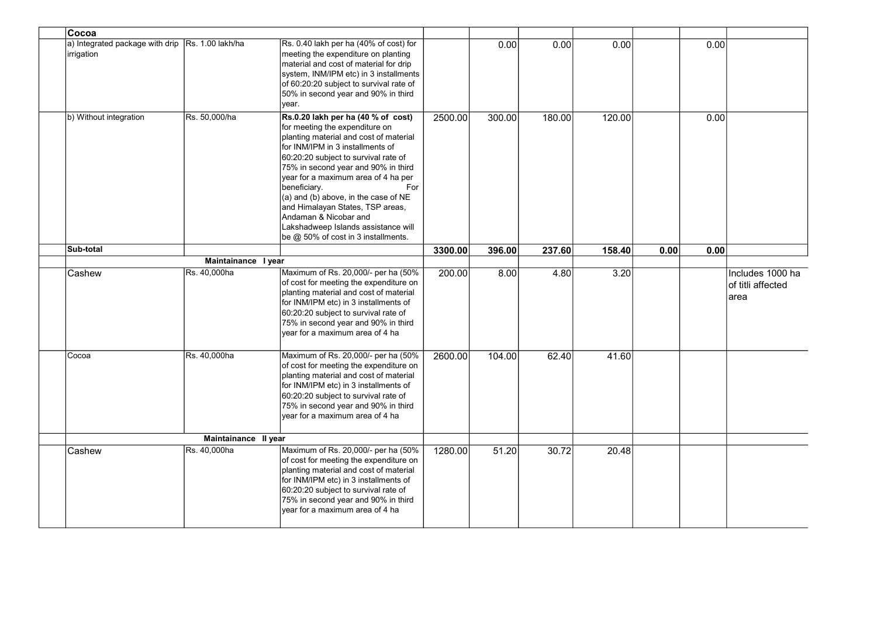| Cocoa                                         |                      |                                                                                                                                                                                                                                                                                                                                                                                                                                                                                      |         |        |        |        |      |      |                                               |
|-----------------------------------------------|----------------------|--------------------------------------------------------------------------------------------------------------------------------------------------------------------------------------------------------------------------------------------------------------------------------------------------------------------------------------------------------------------------------------------------------------------------------------------------------------------------------------|---------|--------|--------|--------|------|------|-----------------------------------------------|
| a) Integrated package with drip<br>irrigation | Rs. 1.00 lakh/ha     | Rs. 0.40 lakh per ha (40% of cost) for<br>meeting the expenditure on planting<br>material and cost of material for drip<br>system, INM/IPM etc) in 3 installments<br>of 60:20:20 subject to survival rate of<br>50% in second year and 90% in third<br>year.                                                                                                                                                                                                                         |         | 0.00   | 0.00   | 0.00   |      | 0.00 |                                               |
| b) Without integration                        | Rs. 50,000/ha        | Rs.0.20 lakh per ha (40 % of cost)<br>for meeting the expenditure on<br>planting material and cost of material<br>for INM/IPM in 3 installments of<br>60:20:20 subject to survival rate of<br>75% in second year and 90% in third<br>year for a maximum area of 4 ha per<br>beneficiary.<br>For<br>$(a)$ and (b) above, in the case of NE<br>and Himalayan States, TSP areas,<br>Andaman & Nicobar and<br>Lakshadweep Islands assistance will<br>be @ 50% of cost in 3 installments. | 2500.00 | 300.00 | 180.00 | 120.00 |      | 0.00 |                                               |
| Sub-total                                     |                      |                                                                                                                                                                                                                                                                                                                                                                                                                                                                                      | 3300.00 | 396.00 | 237.60 | 158.40 | 0.00 | 0.00 |                                               |
|                                               | Maintainance I year  |                                                                                                                                                                                                                                                                                                                                                                                                                                                                                      |         |        |        |        |      |      |                                               |
| Cashew                                        | Rs. 40,000ha         | Maximum of Rs. 20,000/- per ha (50%<br>of cost for meeting the expenditure on<br>planting material and cost of material<br>for INM/IPM etc) in 3 installments of<br>60:20:20 subject to survival rate of<br>75% in second year and 90% in third<br>year for a maximum area of 4 ha                                                                                                                                                                                                   | 200.00  | 8.00   | 4.80   | 3.20   |      |      | Includes 1000 ha<br>of titli affected<br>area |
| Cocoa                                         | Rs. 40,000ha         | Maximum of Rs. 20,000/- per ha (50%<br>of cost for meeting the expenditure on<br>planting material and cost of material<br>for INM/IPM etc) in 3 installments of<br>60:20:20 subject to survival rate of<br>75% in second year and 90% in third<br>vear for a maximum area of 4 ha                                                                                                                                                                                                   | 2600.00 | 104.00 | 62.40  | 41.60  |      |      |                                               |
|                                               | Maintainance II year |                                                                                                                                                                                                                                                                                                                                                                                                                                                                                      |         |        |        |        |      |      |                                               |
| Cashew                                        | Rs. 40,000ha         | Maximum of Rs. 20,000/- per ha (50%<br>of cost for meeting the expenditure on<br>planting material and cost of material<br>for INM/IPM etc) in 3 installments of<br>60:20:20 subject to survival rate of<br>75% in second year and 90% in third<br>year for a maximum area of 4 ha                                                                                                                                                                                                   | 1280.00 | 51.20  | 30.72  | 20.48  |      |      |                                               |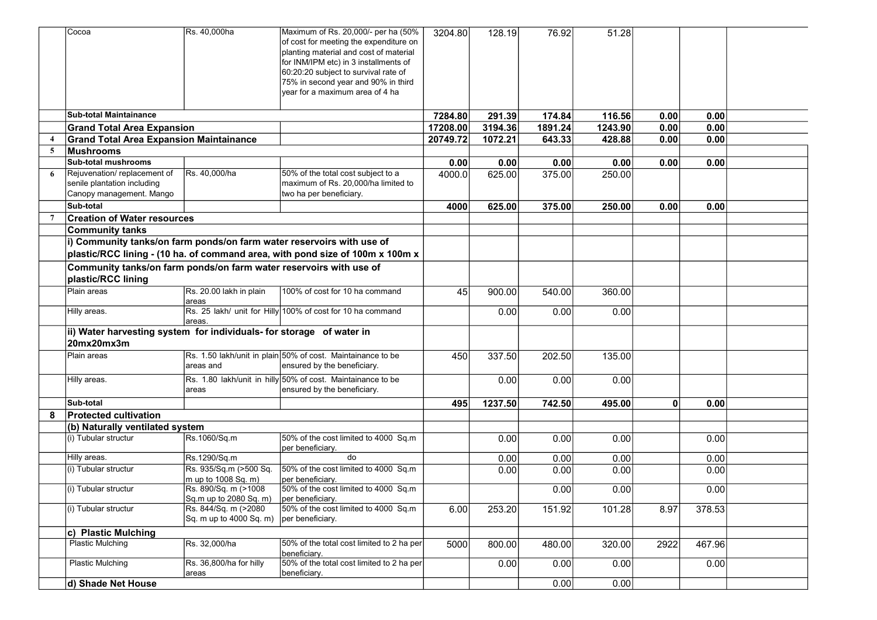|                | Cocoa                                                                                    | Rs. 40,000ha                                     | Maximum of Rs. 20,000/- per ha (50%<br>of cost for meeting the expenditure on<br>planting material and cost of material<br>for INM/IPM etc) in 3 installments of<br>60:20:20 subject to survival rate of<br>75% in second year and 90% in third<br>vear for a maximum area of 4 ha | 3204.80  | 128.19  | 76.92   | 51.28   |              |        |  |
|----------------|------------------------------------------------------------------------------------------|--------------------------------------------------|------------------------------------------------------------------------------------------------------------------------------------------------------------------------------------------------------------------------------------------------------------------------------------|----------|---------|---------|---------|--------------|--------|--|
|                | <b>Sub-total Maintainance</b>                                                            |                                                  |                                                                                                                                                                                                                                                                                    | 7284.80  | 291.39  | 174.84  | 116.56  | 0.00         | 0.00   |  |
|                | <b>Grand Total Area Expansion</b>                                                        |                                                  |                                                                                                                                                                                                                                                                                    | 17208.00 | 3194.36 | 1891.24 | 1243.90 | 0.00         | 0.00   |  |
| $\overline{4}$ | <b>Grand Total Area Expansion Maintainance</b>                                           |                                                  |                                                                                                                                                                                                                                                                                    | 20749.72 | 1072.21 | 643.33  | 428.88  | 0.00         | 0.00   |  |
| 5              | Mushrooms                                                                                |                                                  |                                                                                                                                                                                                                                                                                    |          |         |         |         |              |        |  |
|                | Sub-total mushrooms                                                                      |                                                  |                                                                                                                                                                                                                                                                                    | 0.00     | 0.00    | 0.00    | 0.00    | 0.00         | 0.00   |  |
| 6              | Rejuvenation/replacement of<br>senile plantation including<br>Canopy management. Mango   | Rs. 40,000/ha                                    | 50% of the total cost subject to a<br>maximum of Rs. 20,000/ha limited to<br>two ha per beneficiary.                                                                                                                                                                               | 4000.0   | 625.00  | 375.00  | 250.00  |              |        |  |
|                | Sub-total                                                                                |                                                  |                                                                                                                                                                                                                                                                                    | 4000     | 625.00  | 375.00  | 250.00  | 0.00         | 0.00   |  |
| $\overline{7}$ | <b>Creation of Water resources</b>                                                       |                                                  |                                                                                                                                                                                                                                                                                    |          |         |         |         |              |        |  |
|                | <b>Community tanks</b>                                                                   |                                                  |                                                                                                                                                                                                                                                                                    |          |         |         |         |              |        |  |
|                | i) Community tanks/on farm ponds/on farm water reservoirs with use of                    |                                                  | plastic/RCC lining - (10 ha. of command area, with pond size of 100m x 100m x                                                                                                                                                                                                      |          |         |         |         |              |        |  |
|                | Community tanks/on farm ponds/on farm water reservoirs with use of<br>plastic/RCC lining |                                                  |                                                                                                                                                                                                                                                                                    |          |         |         |         |              |        |  |
|                | Plain areas                                                                              | Rs. 20.00 lakh in plain<br>areas                 | 100% of cost for 10 ha command                                                                                                                                                                                                                                                     | 45       | 900.00  | 540.00  | 360.00  |              |        |  |
|                | Hilly areas.                                                                             | lareas.                                          | Rs. 25 lakh/ unit for Hilly 100% of cost for 10 ha command                                                                                                                                                                                                                         |          | 0.00    | 0.00    | 0.00    |              |        |  |
|                | ii) Water harvesting system for individuals- for storage of water in                     |                                                  |                                                                                                                                                                                                                                                                                    |          |         |         |         |              |        |  |
|                | 20mx20mx3m                                                                               |                                                  |                                                                                                                                                                                                                                                                                    |          |         |         |         |              |        |  |
|                | Plain areas                                                                              | areas and                                        | Rs. 1.50 lakh/unit in plain 50% of cost. Maintainance to be<br>ensured by the beneficiary.                                                                                                                                                                                         | 450      | 337.50  | 202.50  | 135.00  |              |        |  |
|                | Hilly areas.                                                                             | areas                                            | Rs. 1.80 lakh/unit in hilly 50% of cost. Maintainance to be<br>ensured by the beneficiary.                                                                                                                                                                                         |          | 0.00    | 0.00    | 0.00    |              |        |  |
|                | Sub-total                                                                                |                                                  |                                                                                                                                                                                                                                                                                    | 495      | 1237.50 | 742.50  | 495.00  | $\mathbf{0}$ | 0.00   |  |
| 8              | <b>Protected cultivation</b>                                                             |                                                  |                                                                                                                                                                                                                                                                                    |          |         |         |         |              |        |  |
|                | (b) Naturally ventilated system                                                          |                                                  |                                                                                                                                                                                                                                                                                    |          |         |         |         |              |        |  |
|                | (i) Tubular structur                                                                     | Rs.1060/Sq.m                                     | 50% of the cost limited to 4000 Sq.m<br>per beneficiarv.                                                                                                                                                                                                                           |          | 0.00    | 0.00    | 0.00    |              | 0.00   |  |
|                | Hilly areas.                                                                             | Rs.1290/Sq.m                                     | do                                                                                                                                                                                                                                                                                 |          | 0.00    | 0.00    | 0.00    |              | 0.00   |  |
|                | (i) Tubular structur                                                                     | Rs. 935/Sq.m (>500 Sq.<br>$ m$ up to 1008 Sq. m) | 50% of the cost limited to 4000 Sq.m<br>per beneficiary.                                                                                                                                                                                                                           |          | 0.00    | 0.00    | 0.00    |              | 0.00   |  |
|                | (i) Tubular structur                                                                     | Rs. 890/Sq. m (>1008                             | 50% of the cost limited to 4000 Sq.m                                                                                                                                                                                                                                               |          |         | 0.00    | 0.00    |              | 0.00   |  |
|                | (i) Tubular structur                                                                     | Sq.m up to 2080 Sq. m)<br>Rs. 844/Sq. m (>2080)  | per beneficiary.<br>50% of the cost limited to 4000 Sq.m                                                                                                                                                                                                                           |          |         |         |         |              |        |  |
|                |                                                                                          | Sq. m up to 4000 Sq. m)                          | per beneficiary.                                                                                                                                                                                                                                                                   | 6.00     | 253.20  | 151.92  | 101.28  | 8.97         | 378.53 |  |
|                | c) Plastic Mulching                                                                      |                                                  |                                                                                                                                                                                                                                                                                    |          |         |         |         |              |        |  |
|                | <b>Plastic Mulching</b>                                                                  | Rs. 32,000/ha                                    | 50% of the total cost limited to 2 ha per<br>beneficiary.                                                                                                                                                                                                                          | 5000     | 800.00  | 480.00  | 320.00  | 2922         | 467.96 |  |
|                | <b>Plastic Mulching</b>                                                                  | Rs. 36,800/ha for hilly<br>areas                 | 50% of the total cost limited to 2 ha per<br>beneficiary.                                                                                                                                                                                                                          |          | 0.00    | 0.00    | 0.00    |              | 0.00   |  |
|                | d) Shade Net House                                                                       |                                                  |                                                                                                                                                                                                                                                                                    |          |         | 0.00    | 0.00    |              |        |  |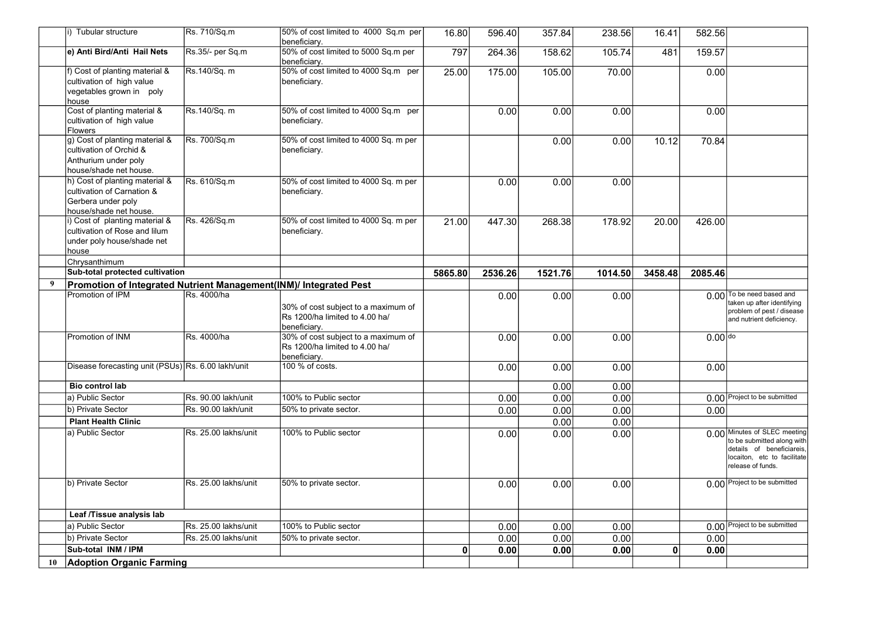|    | i) Tubular structure                                                                                         | Rs. 710/Sq.m         | 50% of cost limited to 4000 Sq.m per<br>beneficiary.                                  | 16.80        | 596.40  | 357.84  | 238.56  | 16.41        | 582.56    |                                                                                                                                             |
|----|--------------------------------------------------------------------------------------------------------------|----------------------|---------------------------------------------------------------------------------------|--------------|---------|---------|---------|--------------|-----------|---------------------------------------------------------------------------------------------------------------------------------------------|
|    | e) Anti Bird/Anti Hail Nets                                                                                  | Rs.35/- per Sq.m     | 50% of cost limited to 5000 Sq.m per<br>beneficiary.                                  | 797          | 264.36  | 158.62  | 105.74  | 481          | 159.57    |                                                                                                                                             |
|    | f) Cost of planting material &<br>cultivation of high value<br>vegetables grown in poly<br>house             | Rs.140/Sq. m         | 50% of cost limited to 4000 Sq.m per<br>beneficiary.                                  | 25.00        | 175.00  | 105.00  | 70.00   |              | 0.00      |                                                                                                                                             |
|    | Cost of planting material &<br>cultivation of high value<br><b>Flowers</b>                                   | Rs.140/Sq. m         | 50% of cost limited to 4000 Sq.m per<br>beneficiary.                                  |              | 0.00    | 0.00    | 0.00    |              | 0.00      |                                                                                                                                             |
|    | g) Cost of planting material &<br>cultivation of Orchid &<br>Anthurium under poly<br>house/shade net house.  | Rs. 700/Sq.m         | 50% of cost limited to 4000 Sq. m per<br>beneficiary.                                 |              |         | 0.00    | 0.00    | 10.12        | 70.84     |                                                                                                                                             |
|    | h) Cost of planting material &<br>cultivation of Carnation &<br>Gerbera under poly<br>house/shade net house. | Rs. 610/Sq.m         | 50% of cost limited to 4000 Sq. m per<br>beneficiary.                                 |              | 0.00    | 0.00    | 0.00    |              |           |                                                                                                                                             |
|    | i) Cost of planting material &<br>cultivation of Rose and lilum<br>under poly house/shade net<br>house       | Rs. 426/Sq.m         | 50% of cost limited to 4000 Sq. m per<br>beneficiary.                                 | 21.00        | 447.30  | 268.38  | 178.92  | 20.00        | 426.00    |                                                                                                                                             |
|    | Chrysanthimum                                                                                                |                      |                                                                                       |              |         |         |         |              |           |                                                                                                                                             |
|    | Sub-total protected cultivation                                                                              |                      |                                                                                       | 5865.80      | 2536.26 | 1521.76 | 1014.50 | 3458.48      | 2085.46   |                                                                                                                                             |
| 9  | Promotion of Integrated Nutrient Management(INM)/ Integrated Pest                                            |                      |                                                                                       |              |         |         |         |              |           |                                                                                                                                             |
|    | Promotion of IPM                                                                                             | Rs. 4000/ha          | 30% of cost subject to a maximum of<br>Rs 1200/ha limited to 4.00 ha/<br>beneficiarv. |              | 0.00    | 0.00    | 0.00    |              |           | 0.00 To be need based and<br>taken up after identifying<br>problem of pest / disease<br>and nutrient deficiency.                            |
|    | Promotion of INM                                                                                             | Rs. 4000/ha          | 30% of cost subject to a maximum of<br>Rs 1200/ha limited to 4.00 ha/<br>beneficiary. |              | 0.00    | 0.00    | 0.00    |              | $0.00$ do |                                                                                                                                             |
|    | Disease forecasting unit (PSUs) Rs. 6.00 lakh/unit                                                           |                      | 100 % of costs.                                                                       |              | 0.00    | 0.00    | 0.001   |              | 0.00      |                                                                                                                                             |
|    | <b>Bio control lab</b>                                                                                       |                      |                                                                                       |              |         | 0.00    | 0.00    |              |           |                                                                                                                                             |
|    | a) Public Sector                                                                                             | Rs. 90.00 lakh/unit  | 100% to Public sector                                                                 |              | 0.00    | 0.00    | 0.00    |              |           | 0.00 Project to be submitted                                                                                                                |
|    | b) Private Sector                                                                                            | Rs. 90.00 lakh/unit  | 50% to private sector.                                                                |              | 0.00    | 0.00    | 0.00    |              | 0.00      |                                                                                                                                             |
|    | <b>Plant Health Clinic</b>                                                                                   |                      |                                                                                       |              |         | 0.00    | 0.00    |              |           |                                                                                                                                             |
|    | a) Public Sector                                                                                             | Rs. 25.00 lakhs/unit | 100% to Public sector                                                                 |              | 0.00    | 0.00    | 0.00    |              |           | 0.00 Minutes of SLEC meeting<br>to be submitted along with<br>details of beneficiareis,<br>locaiton, etc to facilitate<br>release of funds. |
|    | b) Private Sector                                                                                            | Rs. 25.00 lakhs/unit | 50% to private sector.                                                                |              | 0.00    | 0.00    | 0.00    |              |           | 0.00 Project to be submitted                                                                                                                |
|    | Leaf /Tissue analysis lab                                                                                    |                      |                                                                                       |              |         |         |         |              |           |                                                                                                                                             |
|    | a) Public Sector                                                                                             | Rs. 25.00 lakhs/unit | 100% to Public sector                                                                 |              | 0.00    | 0.00    | 0.00    |              |           | 0.00 Project to be submitted                                                                                                                |
|    | b) Private Sector                                                                                            | Rs. 25.00 lakhs/unit | 50% to private sector.                                                                |              | 0.00    | 0.00    | 0.00    |              | 0.00      |                                                                                                                                             |
|    | Sub-total INM / IPM                                                                                          |                      |                                                                                       | $\mathbf{0}$ | 0.00    | 0.00    | 0.00    | $\mathbf{0}$ | 0.00      |                                                                                                                                             |
| 10 | <b>Adoption Organic Farming</b>                                                                              |                      |                                                                                       |              |         |         |         |              |           |                                                                                                                                             |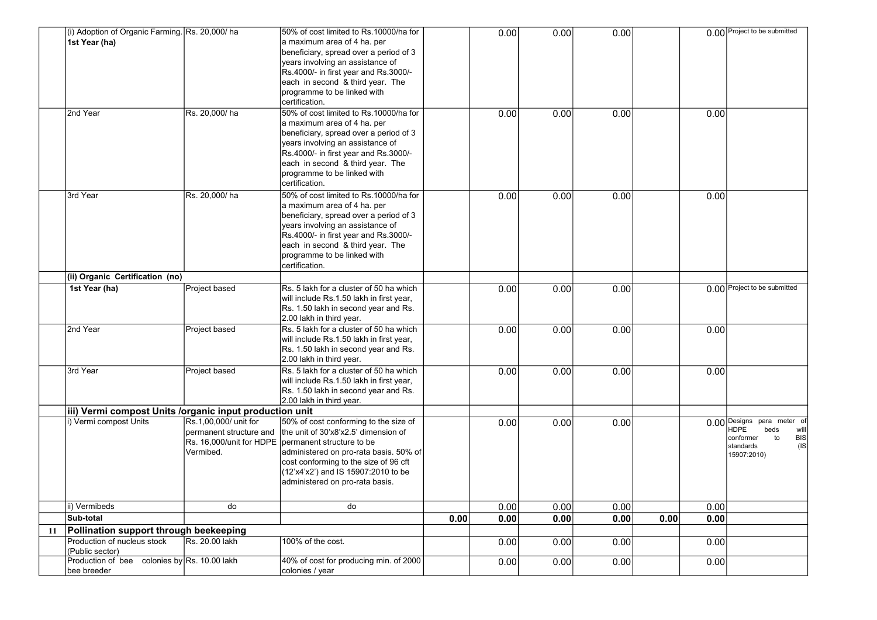|    | (i) Adoption of Organic Farming. Rs. 20,000/ha<br>1st Year (ha)       |                         | 50% of cost limited to Rs.10000/ha for<br>a maximum area of 4 ha. per                      |      | 0.00              | 0.00 | 0.00 |      |      | 0.00 Project to be submitted                              |
|----|-----------------------------------------------------------------------|-------------------------|--------------------------------------------------------------------------------------------|------|-------------------|------|------|------|------|-----------------------------------------------------------|
|    |                                                                       |                         | beneficiary, spread over a period of 3                                                     |      |                   |      |      |      |      |                                                           |
|    |                                                                       |                         | years involving an assistance of                                                           |      |                   |      |      |      |      |                                                           |
|    |                                                                       |                         | Rs.4000/- in first year and Rs.3000/-                                                      |      |                   |      |      |      |      |                                                           |
|    |                                                                       |                         | each in second & third year. The<br>programme to be linked with                            |      |                   |      |      |      |      |                                                           |
|    |                                                                       |                         | certification.                                                                             |      |                   |      |      |      |      |                                                           |
|    | 2nd Year                                                              | Rs. 20,000/ha           | 50% of cost limited to Rs.10000/ha for                                                     |      | 0.00              | 0.00 | 0.00 |      | 0.00 |                                                           |
|    |                                                                       |                         | a maximum area of 4 ha. per                                                                |      |                   |      |      |      |      |                                                           |
|    |                                                                       |                         | beneficiary, spread over a period of 3                                                     |      |                   |      |      |      |      |                                                           |
|    |                                                                       |                         | years involving an assistance of                                                           |      |                   |      |      |      |      |                                                           |
|    |                                                                       |                         | Rs.4000/- in first year and Rs.3000/-<br>each in second & third year. The                  |      |                   |      |      |      |      |                                                           |
|    |                                                                       |                         | programme to be linked with                                                                |      |                   |      |      |      |      |                                                           |
|    |                                                                       |                         | certification.                                                                             |      |                   |      |      |      |      |                                                           |
|    | 3rd Year                                                              | Rs. 20,000/ha           | 50% of cost limited to Rs.10000/ha for                                                     |      | 0.00              | 0.00 | 0.00 |      | 0.00 |                                                           |
|    |                                                                       |                         | a maximum area of 4 ha. per                                                                |      |                   |      |      |      |      |                                                           |
|    |                                                                       |                         | beneficiary, spread over a period of 3                                                     |      |                   |      |      |      |      |                                                           |
|    |                                                                       |                         | years involving an assistance of<br>Rs.4000/- in first year and Rs.3000/-                  |      |                   |      |      |      |      |                                                           |
|    |                                                                       |                         | each in second & third year. The                                                           |      |                   |      |      |      |      |                                                           |
|    |                                                                       |                         | programme to be linked with                                                                |      |                   |      |      |      |      |                                                           |
|    |                                                                       |                         | certification.                                                                             |      |                   |      |      |      |      |                                                           |
|    | (ii) Organic Certification (no)                                       |                         |                                                                                            |      |                   |      |      |      |      |                                                           |
|    | 1st Year (ha)                                                         | Project based           | Rs. 5 lakh for a cluster of 50 ha which                                                    |      | 0.00              | 0.00 | 0.00 |      |      | 0.00 Project to be submitted                              |
|    |                                                                       |                         | will include Rs.1.50 lakh in first year,<br>Rs. 1.50 lakh in second year and Rs.           |      |                   |      |      |      |      |                                                           |
|    |                                                                       |                         | 2.00 lakh in third year.                                                                   |      |                   |      |      |      |      |                                                           |
|    | 2nd Year                                                              | Project based           | Rs. 5 lakh for a cluster of 50 ha which                                                    |      | 0.00              | 0.00 | 0.00 |      | 0.00 |                                                           |
|    |                                                                       |                         | will include Rs.1.50 lakh in first year,                                                   |      |                   |      |      |      |      |                                                           |
|    |                                                                       |                         | Rs. 1.50 lakh in second year and Rs.                                                       |      |                   |      |      |      |      |                                                           |
|    | 3rd Year                                                              |                         | 2.00 lakh in third year.<br>Rs. 5 lakh for a cluster of 50 ha which                        |      |                   |      |      |      |      |                                                           |
|    |                                                                       | Project based           | will include Rs.1.50 lakh in first year,                                                   |      | 0.00              | 0.00 | 0.00 |      | 0.00 |                                                           |
|    |                                                                       |                         | Rs. 1.50 lakh in second year and Rs.                                                       |      |                   |      |      |      |      |                                                           |
|    |                                                                       |                         | 2.00 lakh in third year.                                                                   |      |                   |      |      |      |      |                                                           |
|    | iii) Vermi compost Units /organic input production unit               |                         |                                                                                            |      |                   |      |      |      |      |                                                           |
|    | i) Vermi compost Units                                                | Rs.1,00,000/ unit for   | 50% of cost conforming to the size of                                                      |      | 0.00              | 0.00 | 0.00 |      |      | 0.00 Designs para meter of<br><b>HDPE</b><br>beds<br>will |
|    |                                                                       | permanent structure and | the unit of 30'x8'x2.5' dimension of<br>Rs. 16,000/unit for HDPE permanent structure to be |      |                   |      |      |      |      | <b>BIS</b><br>conformer<br>to                             |
|    |                                                                       | Vermibed.               | administered on pro-rata basis. 50% of                                                     |      |                   |      |      |      |      | standards<br>(IS                                          |
|    |                                                                       |                         | cost conforming to the size of 96 cft                                                      |      |                   |      |      |      |      | 15907:2010)                                               |
|    |                                                                       |                         | $(12^{\circ}x4^{\circ}x2^{\circ})$ and IS 15907:2010 to be                                 |      |                   |      |      |      |      |                                                           |
|    |                                                                       |                         | administered on pro-rata basis.                                                            |      |                   |      |      |      |      |                                                           |
|    |                                                                       |                         |                                                                                            |      |                   |      |      |      |      |                                                           |
|    | ii) Vermibeds                                                         | do                      | do                                                                                         |      | 0.00              | 0.00 | 0.00 |      | 0.00 |                                                           |
|    | Sub-total                                                             |                         |                                                                                            | 0.00 | $\overline{0.00}$ | 0.00 | 0.00 | 0.00 | 0.00 |                                                           |
| 11 | Pollination support through beekeeping<br>Production of nucleus stock | Rs. 20.00 lakh          | 100% of the cost.                                                                          |      |                   |      |      |      |      |                                                           |
|    | (Public sector)                                                       |                         |                                                                                            |      | 0.00              | 0.00 | 0.00 |      | 0.00 |                                                           |
|    | Production of bee colonies by Rs. 10.00 lakh                          |                         | 40% of cost for producing min. of 2000                                                     |      | 0.00              | 0.00 | 0.00 |      | 0.00 |                                                           |
|    | bee breeder                                                           |                         | colonies / year                                                                            |      |                   |      |      |      |      |                                                           |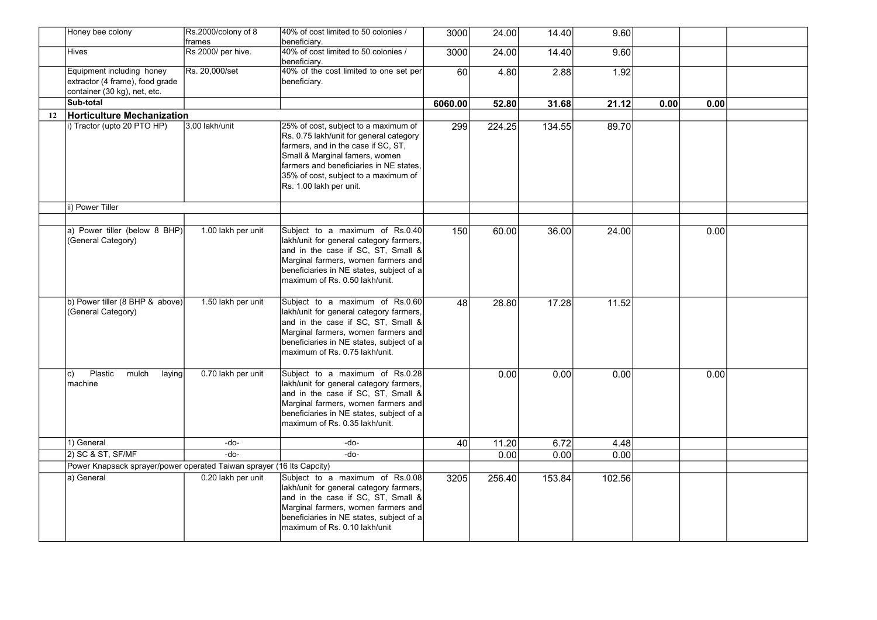|    | Honey bee colony                                                                             | Rs.2000/colony of 8<br>frames | 40% of cost limited to 50 colonies /<br>Ibeneficiarv.                                                                                                                                                                                                                  | 3000    | 24.00  | 14.40  | 9.60   |      |      |  |
|----|----------------------------------------------------------------------------------------------|-------------------------------|------------------------------------------------------------------------------------------------------------------------------------------------------------------------------------------------------------------------------------------------------------------------|---------|--------|--------|--------|------|------|--|
|    | Hives                                                                                        | Rs 2000/ per hive.            | 40% of cost limited to 50 colonies /<br>beneficiary.                                                                                                                                                                                                                   | 3000    | 24.00  | 14.40  | 9.60   |      |      |  |
|    | Equipment including honey<br>extractor (4 frame), food grade<br>container (30 kg), net, etc. | Rs. 20,000/set                | 40% of the cost limited to one set per<br>beneficiary.                                                                                                                                                                                                                 | 60      | 4.80   | 2.88   | 1.92   |      |      |  |
|    | Sub-total                                                                                    |                               |                                                                                                                                                                                                                                                                        | 6060.00 | 52.80  | 31.68  | 21.12  | 0.00 | 0.00 |  |
| 12 | <b>Horticulture Mechanization</b>                                                            |                               |                                                                                                                                                                                                                                                                        |         |        |        |        |      |      |  |
|    | i) Tractor (upto 20 PTO HP)                                                                  | 3.00 lakh/unit                | 25% of cost, subject to a maximum of<br>Rs. 0.75 lakh/unit for general category<br>farmers, and in the case if SC, ST,<br>Small & Marginal famers, women<br>farmers and beneficiaries in NE states,<br>35% of cost, subject to a maximum of<br>Rs. 1.00 lakh per unit. | 299     | 224.25 | 134.55 | 89.70  |      |      |  |
|    | ii) Power Tiller                                                                             |                               |                                                                                                                                                                                                                                                                        |         |        |        |        |      |      |  |
|    |                                                                                              |                               |                                                                                                                                                                                                                                                                        |         |        |        |        |      |      |  |
|    | a) Power tiller (below 8 BHP)<br>(General Category)                                          | 1.00 lakh per unit            | Subject to a maximum of Rs.0.40<br>lakh/unit for general category farmers,<br>and in the case if SC, ST, Small &<br>Marginal farmers, women farmers and<br>beneficiaries in NE states, subject of a<br>maximum of Rs. 0.50 lakh/unit.                                  | 150     | 60.00  | 36.00  | 24.00  |      | 0.00 |  |
|    | b) Power tiller (8 BHP & above)<br>(General Category)                                        | 1.50 lakh per unit            | Subject to a maximum of Rs.0.60<br>lakh/unit for general category farmers,<br>and in the case if SC, ST, Small &<br>Marginal farmers, women farmers and<br>beneficiaries in NE states, subject of a<br>maximum of Rs. 0.75 lakh/unit.                                  | 48      | 28.80  | 17.28  | 11.52  |      |      |  |
|    | Plastic<br>mulch<br>laying<br>lc)<br>machine                                                 | 0.70 lakh per unit            | Subject to a maximum of Rs.0.28<br>lakh/unit for general category farmers,<br>and in the case if SC, ST, Small &<br>Marginal farmers, women farmers and<br>beneficiaries in NE states, subject of a<br>maximum of Rs. 0.35 lakh/unit.                                  |         | 0.00   | 0.00   | 0.00   |      | 0.00 |  |
|    | 1) General                                                                                   | -do-                          | -do-                                                                                                                                                                                                                                                                   | 40      | 11.20  | 6.72   | 4.48   |      |      |  |
|    | 2) SC & ST, SF/MF                                                                            | $-do-$                        | -do-                                                                                                                                                                                                                                                                   |         | 0.00   | 0.00   | 0.00   |      |      |  |
|    | Power Knapsack sprayer/power operated Taiwan sprayer (16 lts Capcity)                        |                               |                                                                                                                                                                                                                                                                        |         |        |        |        |      |      |  |
|    | a) General                                                                                   | 0.20 lakh per unit            | Subject to a maximum of Rs.0.08<br>lakh/unit for general category farmers,<br>and in the case if SC, ST, Small &<br>Marginal farmers, women farmers and<br>beneficiaries in NE states, subject of a<br>maximum of Rs. 0.10 lakh/unit                                   | 3205    | 256.40 | 153.84 | 102.56 |      |      |  |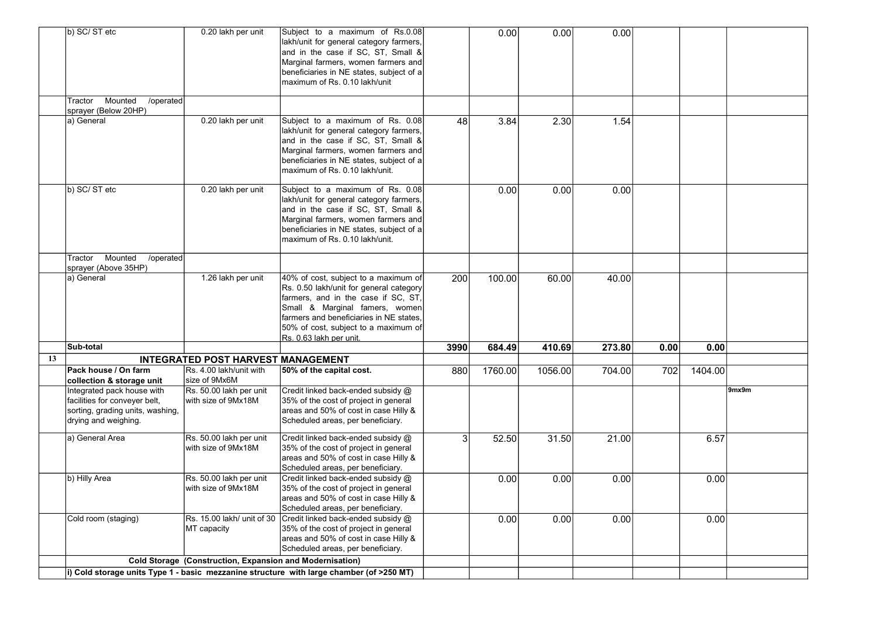|    | b) SC/ ST etc                                                                                                           | 0.20 lakh per unit                                       | Subject to a maximum of Rs.0.08<br>lakh/unit for general category farmers,<br>and in the case if SC, ST, Small &<br>Marginal farmers, women farmers and<br>beneficiaries in NE states, subject of a<br>maximum of Rs. 0.10 lakh/unit                                   |                | 0.00    | 0.00    | 0.00   |      |         |       |
|----|-------------------------------------------------------------------------------------------------------------------------|----------------------------------------------------------|------------------------------------------------------------------------------------------------------------------------------------------------------------------------------------------------------------------------------------------------------------------------|----------------|---------|---------|--------|------|---------|-------|
|    | Mounted<br>Tractor<br>/operated<br>sprayer (Below 20HP)                                                                 |                                                          |                                                                                                                                                                                                                                                                        |                |         |         |        |      |         |       |
|    | a) General                                                                                                              | 0.20 lakh per unit                                       | Subject to a maximum of Rs. 0.08<br>lakh/unit for general category farmers,<br>and in the case if SC, ST, Small &<br>Marginal farmers, women farmers and<br>beneficiaries in NE states, subject of a<br>maximum of Rs. 0.10 lakh/unit.                                 | 48             | 3.84    | 2.30    | 1.54   |      |         |       |
|    | b) SC/ ST etc                                                                                                           | 0.20 lakh per unit                                       | Subject to a maximum of Rs. 0.08<br>lakh/unit for general category farmers,<br>and in the case if SC, ST, Small &<br>Marginal farmers, women farmers and<br>beneficiaries in NE states, subject of a<br>maximum of Rs. 0.10 lakh/unit.                                 |                | 0.00    | 0.00    | 0.00   |      |         |       |
|    | Mounted<br>/operated<br>Tractor                                                                                         |                                                          |                                                                                                                                                                                                                                                                        |                |         |         |        |      |         |       |
|    | sprayer (Above 35HP)<br>a) General                                                                                      | 1.26 lakh per unit                                       | 40% of cost, subject to a maximum of<br>Rs. 0.50 lakh/unit for general category<br>farmers, and in the case if SC, ST,<br>Small & Marginal famers, women<br>farmers and beneficiaries in NE states,<br>50% of cost, subject to a maximum of<br>Rs. 0.63 lakh per unit. | 200            | 100.00  | 60.00   | 40.00  |      |         |       |
|    | Sub-total                                                                                                               |                                                          |                                                                                                                                                                                                                                                                        | 3990           | 684.49  | 410.69  | 273.80 | 0.00 | 0.00    |       |
| 13 |                                                                                                                         | <b>INTEGRATED POST HARVEST MANAGEMENT</b>                |                                                                                                                                                                                                                                                                        |                |         |         |        |      |         |       |
|    | Pack house / On farm<br>collection & storage unit                                                                       | Rs. 4.00 lakh/unit with<br>size of 9Mx6M                 | 50% of the capital cost.                                                                                                                                                                                                                                               | 880            | 1760.00 | 1056.00 | 704.00 | 702  | 1404.00 |       |
|    | Integrated pack house with<br>facilities for conveyer belt,<br>sorting, grading units, washing,<br>drying and weighing. | Rs. 50.00 lakh per unit<br>with size of 9Mx18M           | Credit linked back-ended subsidy @<br>35% of the cost of project in general<br>areas and 50% of cost in case Hilly &<br>Scheduled areas, per beneficiary.                                                                                                              |                |         |         |        |      |         | 9mx9m |
|    | a) General Area                                                                                                         | Rs. 50.00 lakh per unit<br>with size of 9Mx18M           | Credit linked back-ended subsidy @<br>35% of the cost of project in general<br>areas and 50% of cost in case Hilly &<br>Scheduled areas, per beneficiary.                                                                                                              | 3 <sup>1</sup> | 52.50   | 31.50   | 21.00  |      | 6.57    |       |
|    | b) Hilly Area                                                                                                           | Rs. 50.00 lakh per unit<br>with size of 9Mx18M           | Credit linked back-ended subsidy @<br>35% of the cost of project in general<br>areas and 50% of cost in case Hilly &<br>Scheduled areas, per beneficiary.                                                                                                              |                | 0.00    | 0.00    | 0.00   |      | 0.00    |       |
|    | Cold room (staging)                                                                                                     | Rs. 15.00 lakh/ unit of 30<br>MT capacity                | Credit linked back-ended subsidy @<br>35% of the cost of project in general<br>areas and 50% of cost in case Hilly &<br>Scheduled areas, per beneficiary.                                                                                                              |                | 0.00    | 0.00    | 0.00   |      | 0.00    |       |
|    |                                                                                                                         | Cold Storage (Construction, Expansion and Modernisation) |                                                                                                                                                                                                                                                                        |                |         |         |        |      |         |       |
|    |                                                                                                                         |                                                          | i) Cold storage units Type 1 - basic mezzanine structure with large chamber (of >250 MT)                                                                                                                                                                               |                |         |         |        |      |         |       |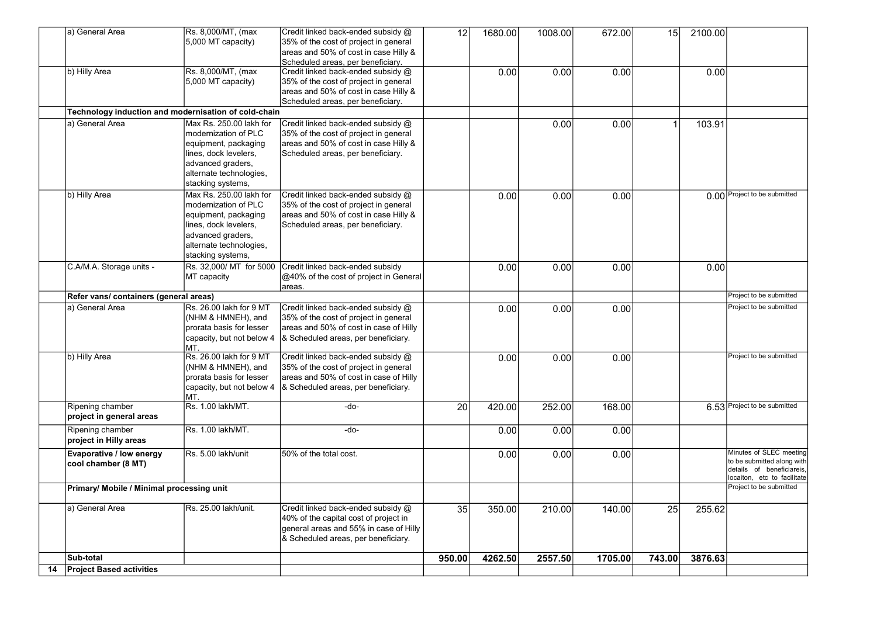|    | a) General Area                                      | Rs. 8,000/MT, (max        | Credit linked back-ended subsidy @     | 12     | 1680.00 | 1008.00 | 672.00  | 15     | 2100.00 |                              |
|----|------------------------------------------------------|---------------------------|----------------------------------------|--------|---------|---------|---------|--------|---------|------------------------------|
|    |                                                      | 5,000 MT capacity)        | 35% of the cost of project in general  |        |         |         |         |        |         |                              |
|    |                                                      |                           | areas and 50% of cost in case Hilly &  |        |         |         |         |        |         |                              |
|    |                                                      |                           | Scheduled areas, per beneficiary.      |        |         |         |         |        |         |                              |
|    | b) Hilly Area                                        | Rs. 8,000/MT, (max        | Credit linked back-ended subsidy @     |        | 0.00    | 0.00    | 0.00    |        | 0.00    |                              |
|    |                                                      | 5,000 MT capacity)        | 35% of the cost of project in general  |        |         |         |         |        |         |                              |
|    |                                                      |                           | areas and 50% of cost in case Hilly &  |        |         |         |         |        |         |                              |
|    |                                                      |                           | Scheduled areas, per beneficiary.      |        |         |         |         |        |         |                              |
|    | Technology induction and modernisation of cold-chain |                           |                                        |        |         |         |         |        |         |                              |
|    |                                                      |                           |                                        |        |         |         |         |        |         |                              |
|    | a) General Area                                      | Max Rs. 250.00 lakh for   | Credit linked back-ended subsidy @     |        |         | 0.00    | 0.00    |        | 103.91  |                              |
|    |                                                      | modernization of PLC      | 35% of the cost of project in general  |        |         |         |         |        |         |                              |
|    |                                                      | equipment, packaging      | areas and 50% of cost in case Hilly &  |        |         |         |         |        |         |                              |
|    |                                                      | lines, dock levelers,     | Scheduled areas, per beneficiary.      |        |         |         |         |        |         |                              |
|    |                                                      | advanced graders,         |                                        |        |         |         |         |        |         |                              |
|    |                                                      | alternate technologies,   |                                        |        |         |         |         |        |         |                              |
|    |                                                      | stacking systems,         |                                        |        |         |         |         |        |         |                              |
|    | b) Hilly Area                                        | Max Rs. 250.00 lakh for   | Credit linked back-ended subsidy @     |        | 0.00    | 0.00    | 0.00    |        |         | 0.00 Project to be submitted |
|    |                                                      | modernization of PLC      | 35% of the cost of project in general  |        |         |         |         |        |         |                              |
|    |                                                      | equipment, packaging      | areas and 50% of cost in case Hilly &  |        |         |         |         |        |         |                              |
|    |                                                      | lines, dock levelers,     | Scheduled areas, per beneficiary.      |        |         |         |         |        |         |                              |
|    |                                                      | advanced graders,         |                                        |        |         |         |         |        |         |                              |
|    |                                                      | alternate technologies,   |                                        |        |         |         |         |        |         |                              |
|    |                                                      |                           |                                        |        |         |         |         |        |         |                              |
|    |                                                      | stacking systems,         |                                        |        |         |         |         |        |         |                              |
|    | C.A/M.A. Storage units -                             | Rs. 32,000/ MT for 5000   | Credit linked back-ended subsidy       |        | 0.00    | 0.00    | 0.00    |        | 0.00    |                              |
|    |                                                      | MT capacity               | @40% of the cost of project in General |        |         |         |         |        |         |                              |
|    |                                                      |                           | areas.                                 |        |         |         |         |        |         |                              |
|    | Refer vans/ containers (general areas)               |                           |                                        |        |         |         |         |        |         | Project to be submitted      |
|    | a) General Area                                      | Rs. 26.00 lakh for 9 MT   | Credit linked back-ended subsidy @     |        | 0.00    | 0.00    | 0.00    |        |         | Project to be submitted      |
|    |                                                      | (NHM & HMNEH), and        | 35% of the cost of project in general  |        |         |         |         |        |         |                              |
|    |                                                      | prorata basis for lesser  | areas and 50% of cost in case of Hilly |        |         |         |         |        |         |                              |
|    |                                                      | capacity, but not below 4 | & Scheduled areas, per beneficiary.    |        |         |         |         |        |         |                              |
|    |                                                      | MT.                       |                                        |        |         |         |         |        |         |                              |
|    | b) Hilly Area                                        | Rs. 26.00 lakh for 9 MT   | Credit linked back-ended subsidy @     |        | 0.00    | 0.00    | 0.00    |        |         | Project to be submitted      |
|    |                                                      | (NHM & HMNEH), and        | 35% of the cost of project in general  |        |         |         |         |        |         |                              |
|    |                                                      | prorata basis for lesser  | areas and 50% of cost in case of Hilly |        |         |         |         |        |         |                              |
|    |                                                      | capacity, but not below 4 | & Scheduled areas, per beneficiary.    |        |         |         |         |        |         |                              |
|    |                                                      | MT.                       |                                        |        |         |         |         |        |         |                              |
|    | Ripening chamber                                     | Rs. 1.00 lakh/MT.         | -do-                                   | 20     | 420.00  | 252.00  | 168.00  |        |         | 6.53 Project to be submitted |
|    | project in general areas                             |                           |                                        |        |         |         |         |        |         |                              |
|    |                                                      |                           |                                        |        |         |         |         |        |         |                              |
|    | Ripening chamber                                     | Rs. 1.00 lakh/MT.         | -do-                                   |        | 0.00    | 0.00    | 0.00    |        |         |                              |
|    | project in Hilly areas                               |                           |                                        |        |         |         |         |        |         |                              |
|    | Evaporative / low energy                             | Rs. 5.00 lakh/unit        | 50% of the total cost.                 |        | 0.00    | 0.00    | 0.00    |        |         | Minutes of SLEC meeting      |
|    | cool chamber (8 MT)                                  |                           |                                        |        |         |         |         |        |         | to be submitted along with   |
|    |                                                      |                           |                                        |        |         |         |         |        |         | details of beneficiareis,    |
|    |                                                      |                           |                                        |        |         |         |         |        |         | locaiton, etc to facilitate  |
|    | Primary/ Mobile / Minimal processing unit            |                           |                                        |        |         |         |         |        |         | Project to be submitted      |
|    |                                                      |                           |                                        |        |         |         |         |        |         |                              |
|    | a) General Area                                      | Rs. 25.00 lakh/unit.      | Credit linked back-ended subsidy @     | 35     | 350.00  | 210.00  | 140.00  | 25     | 255.62  |                              |
|    |                                                      |                           | 40% of the capital cost of project in  |        |         |         |         |        |         |                              |
|    |                                                      |                           | general areas and 55% in case of Hilly |        |         |         |         |        |         |                              |
|    |                                                      |                           | & Scheduled areas, per beneficiary.    |        |         |         |         |        |         |                              |
|    |                                                      |                           |                                        |        |         |         |         |        |         |                              |
|    | Sub-total                                            |                           |                                        | 950.00 | 4262.50 | 2557.50 | 1705.00 | 743.00 | 3876.63 |                              |
| 14 | <b>Project Based activities</b>                      |                           |                                        |        |         |         |         |        |         |                              |
|    |                                                      |                           |                                        |        |         |         |         |        |         |                              |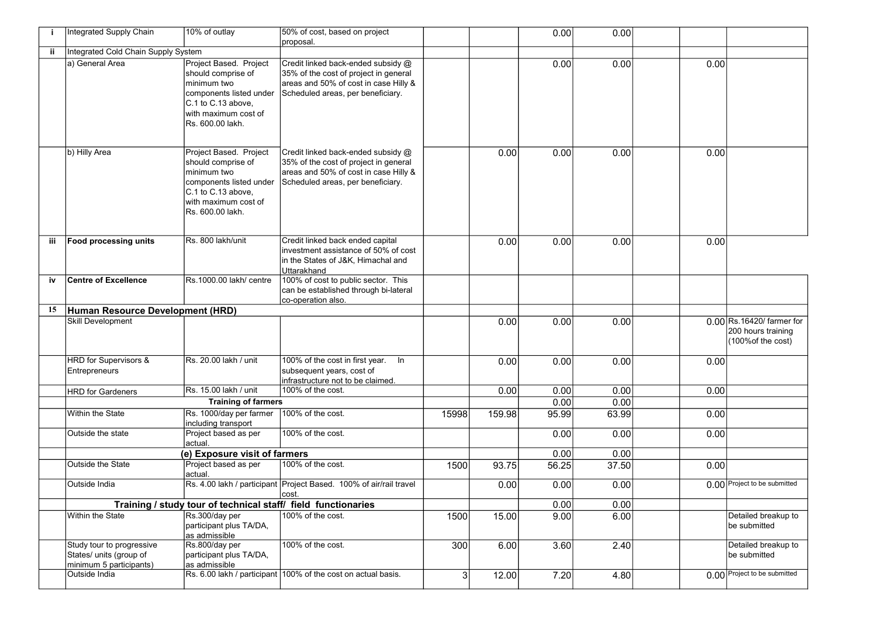|     | Integrated Supply Chain                                                         | 10% of outlay                                                                                                                                            | 50% of cost, based on project                                                                                                                             |       |        | 0.00  | 0.00              |      |                                                                       |
|-----|---------------------------------------------------------------------------------|----------------------------------------------------------------------------------------------------------------------------------------------------------|-----------------------------------------------------------------------------------------------------------------------------------------------------------|-------|--------|-------|-------------------|------|-----------------------------------------------------------------------|
| -ii | proposal.<br>Integrated Cold Chain Supply System                                |                                                                                                                                                          |                                                                                                                                                           |       |        |       |                   |      |                                                                       |
|     | a) General Area                                                                 | Project Based. Project<br>should comprise of<br>minimum two<br>components listed under<br>C.1 to C.13 above,<br>with maximum cost of<br>Rs. 600.00 lakh. | Credit linked back-ended subsidy @<br>35% of the cost of project in general<br>areas and 50% of cost in case Hilly &<br>Scheduled areas, per beneficiary. |       |        | 0.00  | 0.00              | 0.00 |                                                                       |
|     | b) Hilly Area                                                                   | Project Based. Project<br>should comprise of<br>minimum two<br>components listed under<br>C.1 to C.13 above,<br>with maximum cost of<br>Rs. 600.00 lakh. | Credit linked back-ended subsidy @<br>35% of the cost of project in general<br>areas and 50% of cost in case Hilly &<br>Scheduled areas, per beneficiary. |       | 0.00   | 0.00  | 0.00              | 0.00 |                                                                       |
| iii | <b>Food processing units</b>                                                    | Rs. 800 lakh/unit                                                                                                                                        | Credit linked back ended capital<br>investment assistance of 50% of cost<br>in the States of J&K, Himachal and<br>Uttarakhand                             |       | 0.00   | 0.00  | 0.00              | 0.00 |                                                                       |
| iv  | Centre of Excellence                                                            | Rs.1000.00 lakh/ centre                                                                                                                                  | 100% of cost to public sector. This<br>can be established through bi-lateral<br>co-operation also.                                                        |       |        |       |                   |      |                                                                       |
| 15  | Human Resource Development (HRD)                                                |                                                                                                                                                          |                                                                                                                                                           |       |        |       |                   |      |                                                                       |
|     | Skill Development                                                               |                                                                                                                                                          |                                                                                                                                                           |       | 0.00   | 0.00  | 0.00              |      | 0.00 Rs.16420/ farmer for<br>200 hours training<br>(100% of the cost) |
|     | HRD for Supervisors &<br>Entrepreneurs                                          | Rs. 20.00 lakh / unit                                                                                                                                    | 100% of the cost in first year.<br>In<br>subsequent years, cost of<br>infrastructure not to be claimed.                                                   |       | 0.00   | 0.00  | 0.00              | 0.00 |                                                                       |
|     | <b>HRD</b> for Gardeners                                                        | Rs. 15.00 lakh / unit                                                                                                                                    | 100% of the cost.                                                                                                                                         |       | 0.00   | 0.00  | 0.00              | 0.00 |                                                                       |
|     |                                                                                 | <b>Training of farmers</b>                                                                                                                               |                                                                                                                                                           |       |        | 0.00  | 0.00              |      |                                                                       |
|     | Within the State                                                                | Rs. 1000/day per farmer<br>including transport                                                                                                           | 100% of the cost.                                                                                                                                         | 15998 | 159.98 | 95.99 | 63.99             | 0.00 |                                                                       |
|     | Outside the state                                                               | Project based as per<br>lactual.                                                                                                                         | 100% of the cost.                                                                                                                                         |       |        | 0.00  | 0.00              | 0.00 |                                                                       |
|     |                                                                                 | (e) Exposure visit of farmers                                                                                                                            |                                                                                                                                                           |       |        | 0.00  | 0.00              |      |                                                                       |
|     | Outside the State                                                               | Project based as per<br>actual.                                                                                                                          | 100% of the cost.                                                                                                                                         | 1500  | 93.75  | 56.25 | 37.50             | 0.00 |                                                                       |
|     | Outside India                                                                   |                                                                                                                                                          | Rs. 4.00 lakh / participant Project Based. 100% of air/rail travel<br> cost.                                                                              |       | 0.00   | 0.00  | 0.00              |      | 0.00 Project to be submitted                                          |
|     | Training / study tour of technical staff/ field functionaries                   |                                                                                                                                                          |                                                                                                                                                           |       |        | 0.00  | 0.00              |      |                                                                       |
|     | Within the State                                                                | Rs.300/day per<br>participant plus TA/DA,<br>as admissible                                                                                               | 100% of the cost.                                                                                                                                         | 1500  | 15.00  | 9.00  | 6.00              |      | Detailed breakup to<br>be submitted                                   |
|     | Study tour to progressive<br>States/ units (group of<br>minimum 5 participants) | Rs.800/day per<br>participant plus TA/DA,<br>as admissible                                                                                               | 100% of the cost.                                                                                                                                         | 300   | 6.00   | 3.60  | $\overline{2.40}$ |      | Detailed breakup to<br>be submitted                                   |
|     | Outside India                                                                   |                                                                                                                                                          | Rs. 6.00 lakh / participant 100% of the cost on actual basis.                                                                                             | 3     | 12.00  | 7.20  | 4.80              |      | 0.00 Project to be submitted                                          |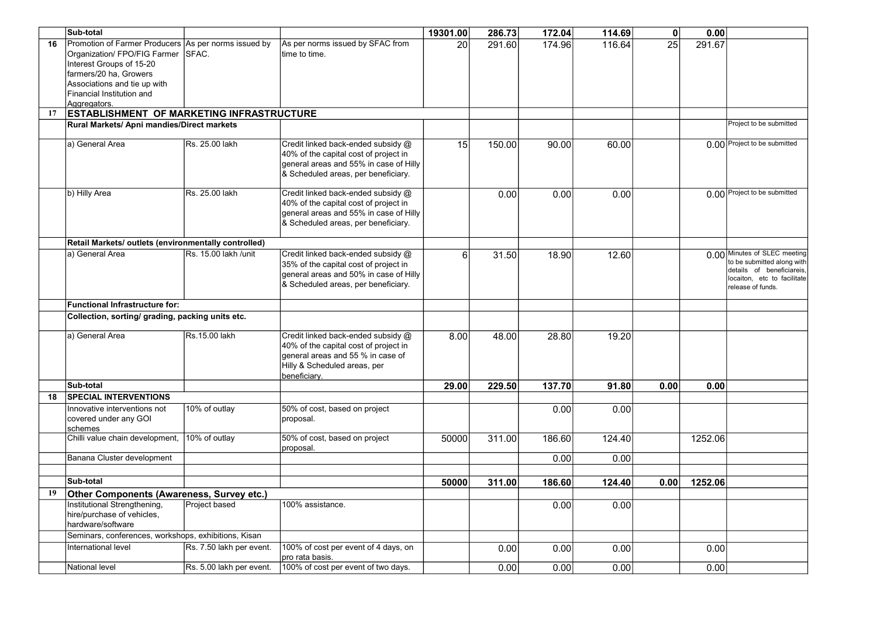|    | <b>Sub-total</b>                                                                                                                                 |                          |                                                                                                                                                                  | 19301.00        | 286.73 | 172.04 | 114.69 | $\mathbf{0}$ | 0.00    |                                                                                                                                             |
|----|--------------------------------------------------------------------------------------------------------------------------------------------------|--------------------------|------------------------------------------------------------------------------------------------------------------------------------------------------------------|-----------------|--------|--------|--------|--------------|---------|---------------------------------------------------------------------------------------------------------------------------------------------|
| 16 | Promotion of Farmer Producers As per norms issued by<br>Organization/ FPO/FIG Farmer SFAC.<br>Interest Groups of 15-20<br>farmers/20 ha, Growers |                          | As per norms issued by SFAC from<br>time to time.                                                                                                                | 20 <sub>l</sub> | 291.60 | 174.96 | 116.64 | 25           | 291.67  |                                                                                                                                             |
|    | Associations and tie up with                                                                                                                     |                          |                                                                                                                                                                  |                 |        |        |        |              |         |                                                                                                                                             |
|    | Financial Institution and                                                                                                                        |                          |                                                                                                                                                                  |                 |        |        |        |              |         |                                                                                                                                             |
| 17 | Aggregators.<br><b>ESTABLISHMENT OF MARKETING INFRASTRUCTURE</b>                                                                                 |                          |                                                                                                                                                                  |                 |        |        |        |              |         |                                                                                                                                             |
|    | Rural Markets/ Apni mandies/Direct markets                                                                                                       |                          |                                                                                                                                                                  |                 |        |        |        |              |         | Project to be submitted                                                                                                                     |
|    |                                                                                                                                                  |                          |                                                                                                                                                                  |                 |        |        |        |              |         |                                                                                                                                             |
|    | a) General Area                                                                                                                                  | Rs. 25.00 lakh           | Credit linked back-ended subsidy @<br>40% of the capital cost of project in<br>general areas and 55% in case of Hilly<br>& Scheduled areas, per beneficiary.     | 15              | 150.00 | 90.00  | 60.00  |              |         | 0.00 Project to be submitted                                                                                                                |
|    | b) Hilly Area                                                                                                                                    | Rs. 25.00 lakh           | Credit linked back-ended subsidy @<br>40% of the capital cost of project in<br>general areas and 55% in case of Hilly<br>& Scheduled areas, per beneficiary.     |                 | 0.00   | 0.00   | 0.00   |              |         | 0.00 Project to be submitted                                                                                                                |
|    | Retail Markets/ outlets (environmentally controlled)                                                                                             |                          |                                                                                                                                                                  |                 |        |        |        |              |         |                                                                                                                                             |
|    | a) General Area                                                                                                                                  | Rs. 15.00 lakh /unit     | Credit linked back-ended subsidy @<br>35% of the capital cost of project in<br>general areas and 50% in case of Hilly<br>& Scheduled areas, per beneficiary.     | 6               | 31.50  | 18.90  | 12.60  |              |         | 0.00 Minutes of SLEC meeting<br>to be submitted along with<br>details of beneficiareis.<br>locaiton, etc to facilitate<br>release of funds. |
|    | Functional Infrastructure for:                                                                                                                   |                          |                                                                                                                                                                  |                 |        |        |        |              |         |                                                                                                                                             |
|    | Collection, sorting/ grading, packing units etc.                                                                                                 |                          |                                                                                                                                                                  |                 |        |        |        |              |         |                                                                                                                                             |
|    | a) General Area                                                                                                                                  | Rs.15.00 lakh            | Credit linked back-ended subsidy @<br>40% of the capital cost of project in<br>general areas and 55 % in case of<br>Hilly & Scheduled areas, per<br>beneficiary. | 8.00            | 48.00  | 28.80  | 19.20  |              |         |                                                                                                                                             |
|    | <b>Sub-total</b>                                                                                                                                 |                          |                                                                                                                                                                  | 29.00           | 229.50 | 137.70 | 91.80  | 0.00         | 0.00    |                                                                                                                                             |
| 18 | <b>SPECIAL INTERVENTIONS</b>                                                                                                                     |                          |                                                                                                                                                                  |                 |        |        |        |              |         |                                                                                                                                             |
|    | Innovative interventions not<br>covered under any GOI<br>schemes                                                                                 | 10% of outlay            | 50% of cost, based on project<br>proposal.                                                                                                                       |                 |        | 0.00   | 0.00   |              |         |                                                                                                                                             |
|    | Chilli value chain development,                                                                                                                  | 10% of outlay            | 50% of cost, based on project<br>proposal.                                                                                                                       | 50000           | 311.00 | 186.60 | 124.40 |              | 1252.06 |                                                                                                                                             |
|    | Banana Cluster development                                                                                                                       |                          |                                                                                                                                                                  |                 |        | 0.00   | 0.00   |              |         |                                                                                                                                             |
|    |                                                                                                                                                  |                          |                                                                                                                                                                  |                 |        |        |        |              |         |                                                                                                                                             |
|    | <b>Sub-total</b>                                                                                                                                 |                          |                                                                                                                                                                  | 50000           | 311.00 | 186.60 | 124.40 | 0.00         | 1252.06 |                                                                                                                                             |
| 19 | Other Components (Awareness, Survey etc.)                                                                                                        |                          |                                                                                                                                                                  |                 |        |        |        |              |         |                                                                                                                                             |
|    | Institutional Strengthening,<br>hire/purchase of vehicles,<br>hardware/software                                                                  | Project based            | 100% assistance.                                                                                                                                                 |                 |        | 0.00   | 0.00   |              |         |                                                                                                                                             |
|    | Seminars, conferences, workshops, exhibitions, Kisan                                                                                             |                          |                                                                                                                                                                  |                 |        |        |        |              |         |                                                                                                                                             |
|    | International level                                                                                                                              | Rs. 7.50 lakh per event. | 100% of cost per event of 4 days, on<br>pro rata basis.                                                                                                          |                 | 0.00   | 0.00   | 0.00   |              | 0.00    |                                                                                                                                             |
|    | National level                                                                                                                                   | Rs. 5.00 lakh per event. | 100% of cost per event of two days.                                                                                                                              |                 | 0.00   | 0.00   | 0.00   |              | 0.00    |                                                                                                                                             |